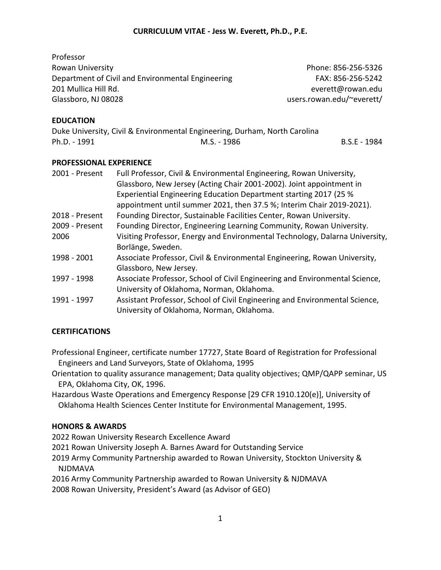Professor

Rowan University Phone: 856-256-5326 Department of Civil and Environmental Engineering FAX: 856-256-5242 201 Mullica Hill Rd. everett@rowan.edu Glassboro, NJ 08028 users.rowan.edu/~everett/

#### **EDUCATION**

Duke University, Civil & Environmental Engineering, Durham, North Carolina Ph.D. - 1991 **M.S.** - 1986 **B.S.E** - 1984

#### **PROFESSIONAL EXPERIENCE**

| 2001 - Present | Full Professor, Civil & Environmental Engineering, Rowan University,         |
|----------------|------------------------------------------------------------------------------|
|                | Glassboro, New Jersey (Acting Chair 2001-2002). Joint appointment in         |
|                | Experiential Engineering Education Department starting 2017 (25 %            |
|                | appointment until summer 2021, then 37.5 %; Interim Chair 2019-2021).        |
| 2018 - Present | Founding Director, Sustainable Facilities Center, Rowan University.          |
| 2009 - Present | Founding Director, Engineering Learning Community, Rowan University.         |
| 2006           | Visiting Professor, Energy and Environmental Technology, Dalarna University, |
|                | Borlänge, Sweden.                                                            |
| 1998 - 2001    | Associate Professor, Civil & Environmental Engineering, Rowan University,    |
|                | Glassboro, New Jersey.                                                       |
| 1997 - 1998    | Associate Professor, School of Civil Engineering and Environmental Science,  |
|                | University of Oklahoma, Norman, Oklahoma.                                    |
| 1991 - 1997    | Assistant Professor, School of Civil Engineering and Environmental Science,  |
|                | University of Oklahoma, Norman, Oklahoma.                                    |

## **CERTIFICATIONS**

Professional Engineer, certificate number 17727, State Board of Registration for Professional Engineers and Land Surveyors, State of Oklahoma, 1995

Orientation to quality assurance management; Data quality objectives; QMP/QAPP seminar, US EPA, Oklahoma City, OK, 1996.

Hazardous Waste Operations and Emergency Response [29 CFR 1910.120(e)], University of Oklahoma Health Sciences Center Institute for Environmental Management, 1995.

#### **HONORS & AWARDS**

2022 Rowan University Research Excellence Award

2021 Rowan University Joseph A. Barnes Award for Outstanding Service

2019 Army Community Partnership awarded to Rowan University, Stockton University & NJDMAVA

2016 Army Community Partnership awarded to Rowan University & NJDMAVA 2008 Rowan University, President's Award (as Advisor of GEO)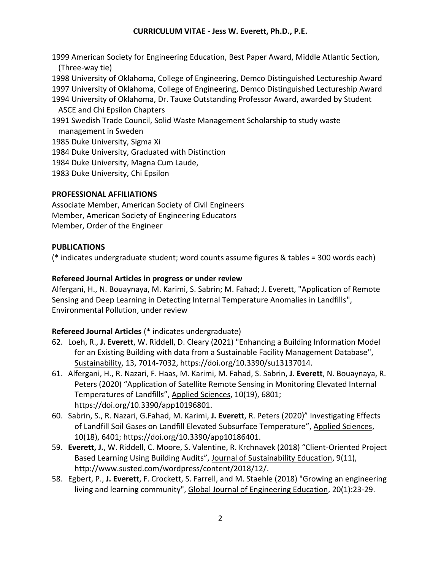1999 American Society for Engineering Education, Best Paper Award, Middle Atlantic Section, (Three-way tie) 1998 University of Oklahoma, College of Engineering, Demco Distinguished Lectureship Award 1997 University of Oklahoma, College of Engineering, Demco Distinguished Lectureship Award 1994 University of Oklahoma, Dr. Tauxe Outstanding Professor Award, awarded by Student ASCE and Chi Epsilon Chapters 1991 Swedish Trade Council, Solid Waste Management Scholarship to study waste management in Sweden 1985 Duke University, Sigma Xi 1984 Duke University, Graduated with Distinction 1984 Duke University, Magna Cum Laude, 1983 Duke University, Chi Epsilon

#### **PROFESSIONAL AFFILIATIONS**

Associate Member, American Society of Civil Engineers Member, American Society of Engineering Educators Member, Order of the Engineer

#### **PUBLICATIONS**

(\* indicates undergraduate student; word counts assume figures & tables = 300 words each)

#### **Refereed Journal Articles in progress or under review**

Alfergani, H., N. Bouaynaya, M. Karimi, S. Sabrin; M. Fahad; J. Everett, "Application of Remote Sensing and Deep Learning in Detecting Internal Temperature Anomalies in Landfills", Environmental Pollution, under review

#### **Refereed Journal Articles** (\* indicates undergraduate)

- 62. Loeh, R., **J. Everett**, W. Riddell, D. Cleary (2021) "Enhancing a Building Information Model for an Existing Building with data from a Sustainable Facility Management Database", Sustainability, 13, 7014-7032, https://doi.org/10.3390/su13137014.
- 61. Alfergani, H., R. Nazari, F. Haas, M. Karimi, M. Fahad, S. Sabrin, **J. Everett**, N. Bouaynaya, R. Peters (2020) "Application of Satellite Remote Sensing in Monitoring Elevated Internal Temperatures of Landfills", Applied Sciences, 10(19), 6801; https://doi.org/10.3390/app10196801.
- 60. Sabrin, S., R. Nazari, G.Fahad, M. Karimi, **J. Everett**, R. Peters (2020)" Investigating Effects of Landfill Soil Gases on Landfill Elevated Subsurface Temperature", Applied Sciences, 10(18), 6401; https://doi.org/10.3390/app10186401.
- 59. **Everett, J.**, W. Riddell, C. Moore, S. Valentine, R. Krchnavek (2018) "Client-Oriented Project Based Learning Using Building Audits", Journal of Sustainability Education, 9(11), http://www.susted.com/wordpress/content/2018/12/.
- 58. Egbert, P., **J. Everett**, F. Crockett, S. Farrell, and M. Staehle (2018) "Growing an engineering living and learning community", Global Journal of Engineering Education, 20(1):23-29.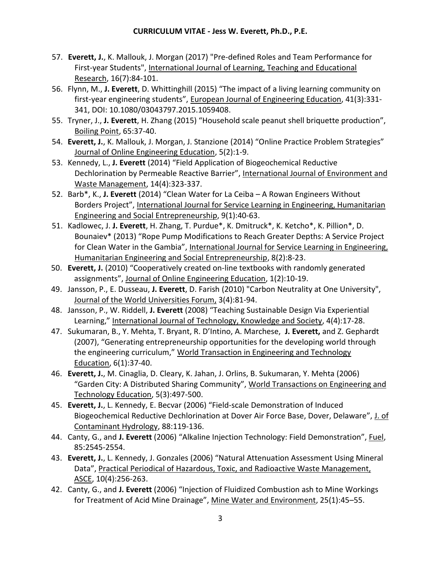- 57. **Everett, J.**, K. Mallouk, J. Morgan (2017) "Pre-defined Roles and Team Performance for First-year Students", International Journal of Learning, Teaching and Educational Research, 16(7):84-101.
- 56. Flynn, M., **J. Everett**, D. Whittinghill (2015) "The impact of a living learning community on first-year engineering students", European Journal of Engineering Education, 41(3):331- 341, DOI: 10.1080/03043797.2015.1059408.
- 55. Tryner, J., **J. Everett**, H. Zhang (2015) "Household scale peanut shell briquette production", Boiling Point, 65:37-40.
- 54. **Everett, J.**, K. Mallouk, J. Morgan, J. Stanzione (2014) "Online Practice Problem Strategies" Journal of Online Engineering Education, 5(2):1-9.
- 53. Kennedy, L., **J. Everett** (2014) "Field Application of Biogeochemical Reductive Dechlorination by Permeable Reactive Barrier", International Journal of Environment and Waste Management, 14(4):323-337.
- 52. Barb\*, K., **J. Everett** (2014) "Clean Water for La Ceiba A Rowan Engineers Without Borders Project", International Journal for Service Learning in Engineering, Humanitarian Engineering and Social Entrepreneurship, 9(1):40-63.
- 51. Kadlowec, J. **J. Everett**, H. Zhang, T. Purdue\*, K. Dmitruck\*, K. Ketcho\*, K. Pillion\*, D. Bounaiev\* (2013) "Rope Pump Modifications to Reach Greater Depths: A Service Project for Clean Water in the Gambia", International Journal for Service Learning in Engineering, Humanitarian Engineering and Social Entrepreneurship, 8(2):8-23.
- 50. **Everett, J.** (2010) "Cooperatively created on-line textbooks with randomly generated assignments", Journal of Online Engineering Education, 1(2):10-19.
- 49. Jansson, P., E. Dusseau, **J. Everett**, D. Farish (2010) "Carbon Neutrality at One University", Journal of the World Universities Forum, 3(4):81-94.
- 48. Jansson, P., W. Riddell, **J. Everett** (2008) "Teaching Sustainable Design Via Experiential Learning," International Journal of Technology, Knowledge and Society, 4(4):17-28.
- 47. Sukumaran, B., Y. Mehta, T. Bryant, R. D'Intino, A. Marchese, **J. Everett,** and Z. Gephardt (2007), "Generating entrepreneurship opportunities for the developing world through the engineering curriculum," World Transaction in Engineering and Technology Education, 6(1):37-40.
- 46. **Everett, J.**, M. Cinaglia, D. Cleary, K. Jahan, J. Orlins, B. Sukumaran, Y. Mehta (2006) "Garden City: A Distributed Sharing Community", World Transactions on Engineering and Technology Education, 5(3):497-500.
- 45. **Everett, J.**, L. Kennedy, E. Becvar (2006) "Field-scale Demonstration of Induced Biogeochemical Reductive Dechlorination at Dover Air Force Base, Dover, Delaware", J. of Contaminant Hydrology, 88:119-136.
- 44. Canty, G., and **J. Everett** (2006) "Alkaline Injection Technology: Field Demonstration", Fuel, 85:2545-2554.
- 43. **Everett, J.**, L. Kennedy, J. Gonzales (2006) "Natural Attenuation Assessment Using Mineral Data", Practical Periodical of Hazardous, Toxic, and Radioactive Waste Management, ASCE, 10(4):256-263.
- 42. Canty, G., and **J. Everett** (2006) "Injection of Fluidized Combustion ash to Mine Workings for Treatment of Acid Mine Drainage", Mine Water and Environment, 25(1):45–55.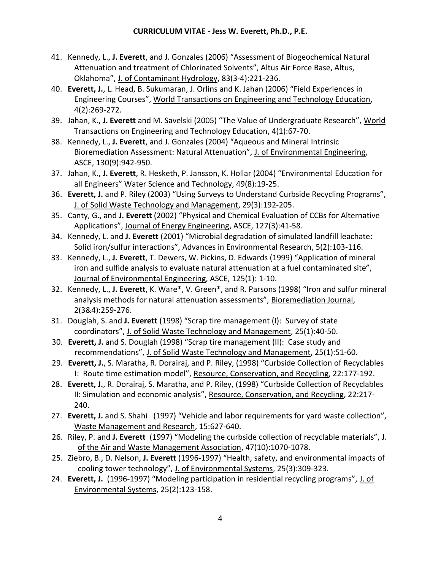- 41. Kennedy, L., **J. Everett**, and J. Gonzales (2006) "Assessment of Biogeochemical Natural Attenuation and treatment of Chlorinated Solvents", Altus Air Force Base, Altus, Oklahoma", J. of Contaminant Hydrology, 83(3-4):221-236.
- 40. **Everett, J.**, L. Head, B. Sukumaran, J. Orlins and K. Jahan (2006) "Field Experiences in Engineering Courses", World Transactions on Engineering and Technology Education, 4(2):269-272.
- 39. Jahan, K., **J. Everett** and M. Savelski (2005) "The Value of Undergraduate Research", World Transactions on Engineering and Technology Education, 4(1):67-70.
- 38. Kennedy, L., **J. Everett**, and J. Gonzales (2004) "Aqueous and Mineral Intrinsic Bioremediation Assessment: Natural Attenuation", J. of Environmental Engineering, ASCE, 130(9):942-950.
- 37. Jahan, K., **J. Everett**, R. Hesketh, P. Jansson, K. Hollar (2004) "Environmental Education for all Engineers" Water Science and Technology, 49(8):19-25.
- 36. **Everett, J.** and P. Riley (2003) "Using Surveys to Understand Curbside Recycling Programs", J. of Solid Waste Technology and Management, 29(3):192-205.
- 35. Canty, G., and **J. Everett** (2002) "Physical and Chemical Evaluation of CCBs for Alternative Applications", Journal of Energy Engineering, ASCE, 127(3):41-58.
- 34. Kennedy, L. and **J. Everett** (2001) "Microbial degradation of simulated landfill leachate: Solid iron/sulfur interactions", Advances in Environmental Research, 5(2):103-116.
- 33. Kennedy, L., **J. Everett**, T. Dewers, W. Pickins, D. Edwards (1999) "Application of mineral iron and sulfide analysis to evaluate natural attenuation at a fuel contaminated site", Journal of Environmental Engineering, ASCE, 125(1): 1-10.
- 32. Kennedy, L., **J. Everett**, K. Ware\*, V. Green\*, and R. Parsons (1998) "Iron and sulfur mineral analysis methods for natural attenuation assessments", Bioremediation Journal, 2(3&4):259-276.
- 31. Douglah, S. and **J. Everett** (1998) "Scrap tire management (I): Survey of state coordinators", J. of Solid Waste Technology and Management, 25(1):40-50.
- 30. **Everett, J.** and S. Douglah (1998) "Scrap tire management (II): Case study and recommendations", J. of Solid Waste Technology and Management, 25(1):51-60.
- 29. **Everett, J.**, S. Maratha, R. Dorairaj, and P. Riley, (1998) "Curbside Collection of Recyclables I: Route time estimation model", Resource, Conservation, and Recycling, 22:177-192.
- 28. **Everett, J.**, R. Dorairaj, S. Maratha, and P. Riley, (1998) "Curbside Collection of Recyclables II: Simulation and economic analysis", Resource, Conservation, and Recycling, 22:217- 240.
- 27. **Everett, J.** and S. Shahi (1997) "Vehicle and labor requirements for yard waste collection", Waste Management and Research, 15:627-640.
- 26. Riley, P. and **J. Everett** (1997) "Modeling the curbside collection of recyclable materials", J. of the Air and Waste Management Association, 47(10):1070-1078.
- 25. Ziebro, B., D. Nelson, **J. Everett** (1996-1997) "Health, safety, and environmental impacts of cooling tower technology", J. of Environmental Systems, 25(3):309-323.
- 24. **Everett, J.** (1996-1997) "Modeling participation in residential recycling programs", J. of Environmental Systems, 25(2):123-158.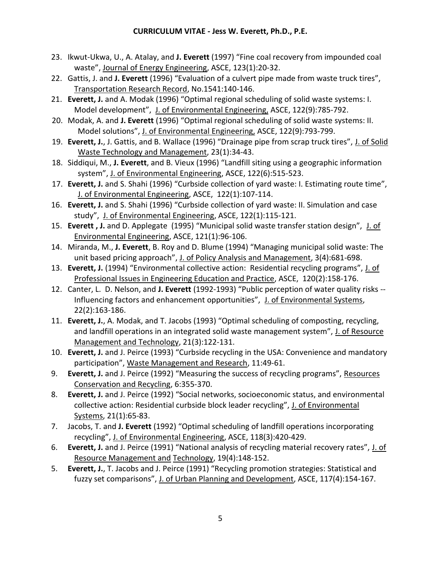- 23. Ikwut-Ukwa, U., A. Atalay, and **J. Everett** (1997) "Fine coal recovery from impounded coal waste", Journal of Energy Engineering, ASCE, 123(1):20-32.
- 22. Gattis, J. and **J. Everett** (1996) "Evaluation of a culvert pipe made from waste truck tires", Transportation Research Record, No.1541:140-146.
- 21. **Everett, J.** and A. Modak (1996) "Optimal regional scheduling of solid waste systems: I. Model development", J. of Environmental Engineering, ASCE, 122(9):785-792.
- 20. Modak, A. and **J. Everett** (1996) "Optimal regional scheduling of solid waste systems: II. Model solutions", J. of Environmental Engineering, ASCE, 122(9):793-799.
- 19. **Everett, J.**, J. Gattis, and B. Wallace (1996) "Drainage pipe from scrap truck tires", J. of Solid Waste Technology and Management, 23(1):34-43.
- 18. Siddiqui, M., **J. Everett**, and B. Vieux (1996) "Landfill siting using a geographic information system", J. of Environmental Engineering, ASCE, 122(6):515-523.
- 17. **Everett, J.** and S. Shahi (1996) "Curbside collection of yard waste: I. Estimating route time", J. of Environmental Engineering, ASCE, 122(1):107-114.
- 16. **Everett, J.** and S. Shahi (1996) "Curbside collection of yard waste: II. Simulation and case study", J. of Environmental Engineering, ASCE, 122(1):115-121.
- 15. **Everett , J.** and D. Applegate (1995) "Municipal solid waste transfer station design", J. of Environmental Engineering, ASCE, 121(1):96-106.
- 14. Miranda, M., **J. Everett**, B. Roy and D. Blume (1994) "Managing municipal solid waste: The unit based pricing approach", J. of Policy Analysis and Management, 3(4):681-698.
- 13. **Everett, J.** (1994) "Environmental collective action: Residential recycling programs", J. of Professional Issues in Engineering Education and Practice, ASCE, 120(2):158-176.
- 12. Canter, L. D. Nelson, and **J. Everett** (1992-1993) "Public perception of water quality risks -- Influencing factors and enhancement opportunities", J. of Environmental Systems, 22(2):163-186.
- 11. **Everett, J.**, A. Modak, and T. Jacobs (1993) "Optimal scheduling of composting, recycling, and landfill operations in an integrated solid waste management system", J. of Resource Management and Technology, 21(3):122-131.
- 10. **Everett, J.** and J. Peirce (1993) "Curbside recycling in the USA: Convenience and mandatory participation", Waste Management and Research, 11:49-61.
- 9. **Everett, J.** and J. Peirce (1992) "Measuring the success of recycling programs", Resources Conservation and Recycling, 6:355-370.
- 8. **Everett, J.** and J. Peirce (1992) "Social networks, socioeconomic status, and environmental collective action: Residential curbside block leader recycling", J. of Environmental Systems, 21(1):65-83.
- 7. Jacobs, T. and **J. Everett** (1992) "Optimal scheduling of landfill operations incorporating recycling", J. of Environmental Engineering, ASCE, 118(3):420-429.
- 6. **Everett, J.** and J. Peirce (1991) "National analysis of recycling material recovery rates", J. of Resource Management and Technology, 19(4):148-152.
- 5. **Everett, J.**, T. Jacobs and J. Peirce (1991) "Recycling promotion strategies: Statistical and fuzzy set comparisons", J. of Urban Planning and Development, ASCE, 117(4):154-167.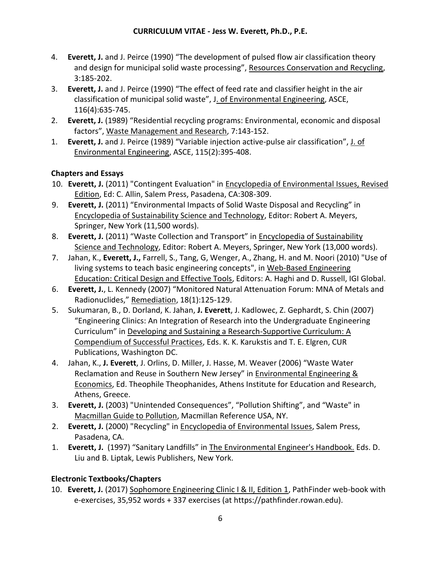- 4. **Everett, J.** and J. Peirce (1990) "The development of pulsed flow air classification theory and design for municipal solid waste processing", Resources Conservation and Recycling, 3:185-202.
- 3. **Everett, J.** and J. Peirce (1990) "The effect of feed rate and classifier height in the air classification of municipal solid waste", J. of Environmental Engineering, ASCE, 116(4):635-745.
- 2. **Everett, J.** (1989) "Residential recycling programs: Environmental, economic and disposal factors", Waste Management and Research, 7:143-152.
- 1. **Everett, J.** and J. Peirce (1989) "Variable injection active-pulse air classification", J. of Environmental Engineering, ASCE, 115(2):395-408.

# **Chapters and Essays**

- 10. **Everett, J.** (2011) "Contingent Evaluation" in Encyclopedia of Environmental Issues, Revised Edition, Ed: C. Allin, Salem Press, Pasadena, CA:308-309.
- 9. **Everett, J.** (2011) "Environmental Impacts of Solid Waste Disposal and Recycling" in Encyclopedia of Sustainability Science and Technology, Editor: Robert A. Meyers, Springer, New York (11,500 words).
- 8. **Everett, J.** (2011) "Waste Collection and Transport" in Encyclopedia of Sustainability Science and Technology, Editor: Robert A. Meyers, Springer, New York (13,000 words).
- 7. Jahan, K., **Everett, J.,** Farrell, S., Tang, G, Wenger, A., Zhang, H. and M. Noori (2010) "Use of living systems to teach basic engineering concepts", in Web-Based Engineering Education: Critical Design and Effective Tools, Editors: A. Haghi and D. Russell, IGI Global.
- 6. **Everett, J.**, L. Kennedy (2007) "Monitored Natural Attenuation Forum: MNA of Metals and Radionuclides," Remediation, 18(1):125-129.
- 5. Sukumaran, B., D. Dorland, K. Jahan, **J. Everett**, J. Kadlowec, Z. Gephardt, S. Chin (2007) "Engineering Clinics: An Integration of Research into the Undergraduate Engineering Curriculum" in Developing and Sustaining a Research-Supportive Curriculum: A Compendium of Successful Practices, Eds. K. K. Karukstis and T. E. Elgren, CUR Publications, Washington DC.
- 4. Jahan, K., **J. Everett**, J. Orlins, D. Miller, J. Hasse, M. Weaver (2006) "Waste Water Reclamation and Reuse in Southern New Jersey" in Environmental Engineering & Economics, Ed. Theophile Theophanides, Athens Institute for Education and Research, Athens, Greece.
- 3. **Everett, J.** (2003) "Unintended Consequences", "Pollution Shifting", and "Waste" in Macmillan Guide to Pollution, Macmillan Reference USA, NY.
- 2. **Everett, J.** (2000) "Recycling" in Encyclopedia of Environmental Issues, Salem Press, Pasadena, CA.
- 1. **Everett, J.** (1997) "Sanitary Landfills" in The Environmental Engineer's Handbook. Eds. D. Liu and B. Liptak, Lewis Publishers, New York.

# **Electronic Textbooks/Chapters**

10. **Everett, J.** (2017) Sophomore Engineering Clinic I & II, Edition 1, PathFinder web-book with e-exercises, 35,952 words + 337 exercises (at https://pathfinder.rowan.edu).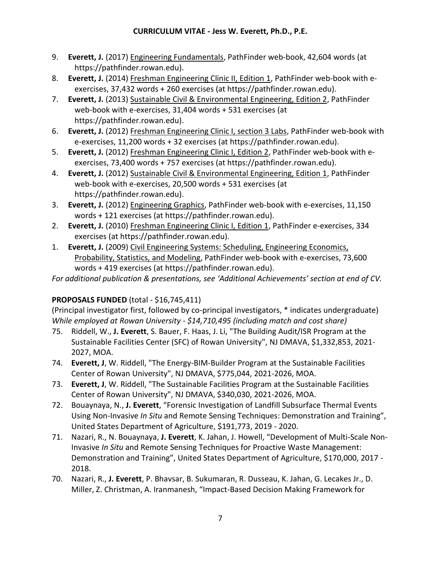- 9. **Everett, J.** (2017) Engineering Fundamentals, PathFinder web-book, 42,604 words (at https://pathfinder.rowan.edu).
- 8. **Everett, J.** (2014) Freshman Engineering Clinic II, Edition 1, PathFinder web-book with eexercises, 37,432 words + 260 exercises (at https://pathfinder.rowan.edu).
- 7. **Everett, J.** (2013) Sustainable Civil & Environmental Engineering, Edition 2, PathFinder web-book with e-exercises, 31,404 words + 531 exercises (at https://pathfinder.rowan.edu).
- 6. **Everett, J.** (2012) Freshman Engineering Clinic I, section 3 Labs, PathFinder web-book with e-exercises, 11,200 words + 32 exercises (at https://pathfinder.rowan.edu).
- 5. **Everett, J.** (2012) Freshman Engineering Clinic I, Edition 2, PathFinder web-book with eexercises, 73,400 words + 757 exercises (at https://pathfinder.rowan.edu).
- 4. **Everett, J.** (2012) Sustainable Civil & Environmental Engineering, Edition 1, PathFinder web-book with e-exercises, 20,500 words + 531 exercises (at https://pathfinder.rowan.edu).
- 3. **Everett, J.** (2012) Engineering Graphics, PathFinder web-book with e-exercises, 11,150 words + 121 exercises (at https://pathfinder.rowan.edu).
- 2. **Everett, J.** (2010) Freshman Engineering Clinic I, Edition 1, PathFinder e-exercises, 334 exercises (at https://pathfinder.rowan.edu).
- 1. **Everett, J.** (2009) Civil Engineering Systems: Scheduling, Engineering Economics, Probability, Statistics, and Modeling, PathFinder web-book with e-exercises, 73,600 words + 419 exercises (at https://pathfinder.rowan.edu).

*For additional publication & presentations, see 'Additional Achievements' section at end of CV.*

## **PROPOSALS FUNDED** (total - \$16,745,411)

(Principal investigator first, followed by co-principal investigators, \* indicates undergraduate) *While employed at Rowan University - \$14,710,495 (including match and cost share)*

- 75. Riddell, W., **J. Everett**, S. Bauer, F. Haas, J. Li, "The Building Audit/ISR Program at the Sustainable Facilities Center (SFC) of Rowan University", NJ DMAVA, \$1,332,853, 2021- 2027, MOA.
- 74. **Everett, J**, W. Riddell, "The Energy-BIM-Builder Program at the Sustainable Facilities Center of Rowan University", NJ DMAVA, \$775,044, 2021-2026, MOA.
- 73. **Everett, J**, W. Riddell, "The Sustainable Facilities Program at the Sustainable Facilities Center of Rowan University", NJ DMAVA, \$340,030, 2021-2026, MOA.
- 72. Bouaynaya, N., **J. Everett**, "Forensic Investigation of Landfill Subsurface Thermal Events Using Non-Invasive *In Situ* and Remote Sensing Techniques: Demonstration and Training", United States Department of Agriculture, \$191,773, 2019 - 2020.
- 71. Nazari, R., N. Bouaynaya, **J. Everett**, K. Jahan, J. Howell, "Development of Multi-Scale Non-Invasive *In Situ* and Remote Sensing Techniques for Proactive Waste Management: Demonstration and Training", United States Department of Agriculture, \$170,000, 2017 - 2018.
- 70. Nazari, R., **J. Everett**, P. Bhavsar, B. Sukumaran, R. Dusseau, K. Jahan, G. Lecakes Jr., D. Miller, Z. Christman, A. Iranmanesh, "Impact-Based Decision Making Framework for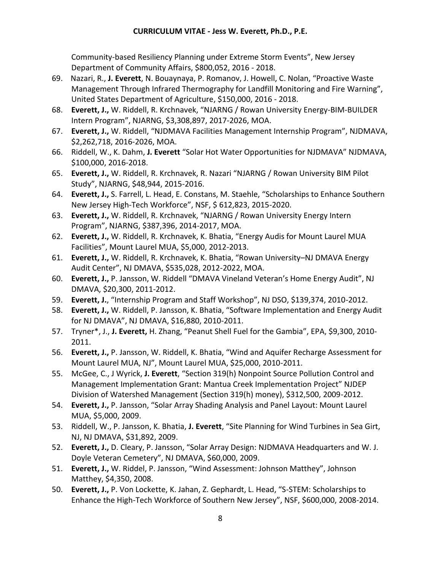Community-based Resiliency Planning under Extreme Storm Events", New Jersey Department of Community Affairs, \$800,052, 2016 - 2018.

- 69. Nazari, R., **J. Everett**, N. Bouaynaya, P. Romanov, J. Howell, C. Nolan, "Proactive Waste Management Through Infrared Thermography for Landfill Monitoring and Fire Warning", United States Department of Agriculture, \$150,000, 2016 - 2018.
- 68. **Everett, J.,** W. Riddell, R. Krchnavek, "NJARNG / Rowan University Energy-BIM-BUILDER Intern Program", NJARNG, \$3,308,897, 2017-2026, MOA.
- 67. **Everett, J.,** W. Riddell, "NJDMAVA Facilities Management Internship Program", NJDMAVA, \$2,262,718, 2016-2026, MOA.
- 66. Riddell, W., K. Dahm, **J. Everett** "Solar Hot Water Opportunities for NJDMAVA" NJDMAVA, \$100,000, 2016-2018.
- 65. **Everett, J.,** W. Riddell, R. Krchnavek, R. Nazari "NJARNG / Rowan University BIM Pilot Study", NJARNG, \$48,944, 2015-2016.
- 64. **Everett, J.,** S. Farrell, L. Head, E. Constans, M. Staehle, "Scholarships to Enhance Southern New Jersey High-Tech Workforce", NSF, \$ 612,823, 2015-2020.
- 63. **Everett, J.,** W. Riddell, R. Krchnavek, "NJARNG / Rowan University Energy Intern Program", NJARNG, \$387,396, 2014-2017, MOA.
- 62. **Everett, J.,** W. Riddell, R. Krchnavek, K. Bhatia, "Energy Audis for Mount Laurel MUA Facilities", Mount Laurel MUA, \$5,000, 2012-2013.
- 61. **Everett, J.,** W. Riddell, R. Krchnavek, K. Bhatia, "Rowan University–NJ DMAVA Energy Audit Center", NJ DMAVA, \$535,028, 2012-2022, MOA.
- 60. **Everett, J.,** P. Jansson, W. Riddell "DMAVA Vineland Veteran's Home Energy Audit", NJ DMAVA, \$20,300, 2011-2012.
- 59. **Everett, J.**, "Internship Program and Staff Workshop", NJ DSO, \$139,374, 2010-2012.
- 58. **Everett, J.,** W. Riddell, P. Jansson, K. Bhatia, "Software Implementation and Energy Audit for NJ DMAVA", NJ DMAVA, \$16,880, 2010-2011.
- 57. Tryner\*, J., **J. Everett,** H. Zhang, "Peanut Shell Fuel for the Gambia", EPA, \$9,300, 2010- 2011.
- 56. **Everett, J.,** P. Jansson, W. Riddell, K. Bhatia, "Wind and Aquifer Recharge Assessment for Mount Laurel MUA, NJ", Mount Laurel MUA, \$25,000, 2010-2011.
- 55. McGee, C., J Wyrick, **J. Everett**, "Section 319(h) Nonpoint Source Pollution Control and Management Implementation Grant: Mantua Creek Implementation Project" NJDEP Division of Watershed Management (Section 319(h) money), \$312,500, 2009-2012.
- 54. **Everett, J.,** P. Jansson, "Solar Array Shading Analysis and Panel Layout: Mount Laurel MUA, \$5,000, 2009.
- 53. Riddell, W., P. Jansson, K. Bhatia, **J. Everett**, "Site Planning for Wind Turbines in Sea Girt, NJ, NJ DMAVA, \$31,892, 2009.
- 52. **Everett, J.,** D. Cleary, P. Jansson, "Solar Array Design: NJDMAVA Headquarters and W. J. Doyle Veteran Cemetery", NJ DMAVA, \$60,000, 2009.
- 51. **Everett, J.,** W. Riddel, P. Jansson, "Wind Assessment: Johnson Matthey", Johnson Matthey, \$4,350, 2008.
- 50. **Everett, J.,** P. Von Lockette, K. Jahan, Z. Gephardt, L. Head, "S-STEM: Scholarships to Enhance the High-Tech Workforce of Southern New Jersey", NSF, \$600,000, 2008-2014.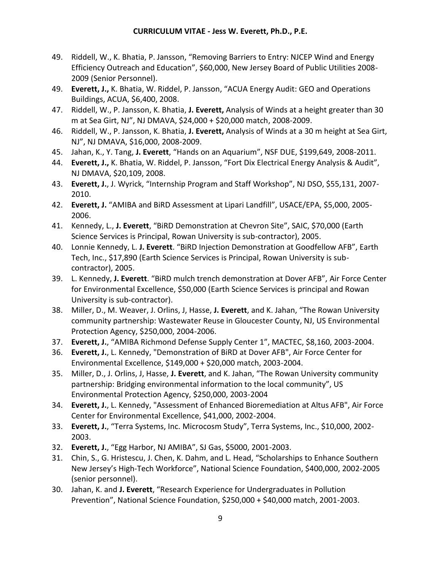- 49. Riddell, W., K. Bhatia, P. Jansson, "Removing Barriers to Entry: NJCEP Wind and Energy Efficiency Outreach and Education", \$60,000, New Jersey Board of Public Utilities 2008- 2009 (Senior Personnel).
- 49. **Everett, J.,** K. Bhatia, W. Riddel, P. Jansson, "ACUA Energy Audit: GEO and Operations Buildings, ACUA, \$6,400, 2008.
- 47. Riddell, W., P. Jansson, K. Bhatia, **J. Everett,** Analysis of Winds at a height greater than 30 m at Sea Girt, NJ", NJ DMAVA, \$24,000 + \$20,000 match, 2008-2009.
- 46. Riddell, W., P. Jansson, K. Bhatia, **J. Everett,** Analysis of Winds at a 30 m height at Sea Girt, NJ", NJ DMAVA, \$16,000, 2008-2009.
- 45. Jahan, K., Y. Tang, **J. Everett**, "Hands on an Aquarium", NSF DUE, \$199,649, 2008-2011.
- 44. **Everett, J.,** K. Bhatia, W. Riddel, P. Jansson, "Fort Dix Electrical Energy Analysis & Audit", NJ DMAVA, \$20,109, 2008.
- 43. **Everett, J.**, J. Wyrick, "Internship Program and Staff Workshop", NJ DSO, \$55,131, 2007- 2010.
- 42. **Everett, J.** "AMIBA and BiRD Assessment at Lipari Landfill", USACE/EPA, \$5,000, 2005- 2006.
- 41. Kennedy, L., **J. Everett**, "BiRD Demonstration at Chevron Site", SAIC, \$70,000 (Earth Science Services is Principal, Rowan University is sub-contractor), 2005.
- 40. Lonnie Kennedy, L. **J. Everett**. "BiRD Injection Demonstration at Goodfellow AFB", Earth Tech, Inc., \$17,890 (Earth Science Services is Principal, Rowan University is subcontractor), 2005.
- 39. L. Kennedy, **J. Everett**. "BiRD mulch trench demonstration at Dover AFB", Air Force Center for Environmental Excellence, \$50,000 (Earth Science Services is principal and Rowan University is sub-contractor).
- 38. Miller, D., M. Weaver, J. Orlins, J, Hasse, **J. Everett**, and K. Jahan, "The Rowan University community partnership: Wastewater Reuse in Gloucester County, NJ, US Environmental Protection Agency, \$250,000, 2004-2006.
- 37. **Everett, J.**, "AMIBA Richmond Defense Supply Center 1", MACTEC, \$8,160, 2003-2004.
- 36. **Everett, J.**, L. Kennedy, "Demonstration of BiRD at Dover AFB", Air Force Center for Environmental Excellence, \$149,000 + \$20,000 match, 2003-2004.
- 35. Miller, D., J. Orlins, J, Hasse, **J. Everett**, and K. Jahan, "The Rowan University community partnership: Bridging environmental information to the local community", US Environmental Protection Agency, \$250,000, 2003-2004
- 34. **Everett, J.**, L. Kennedy, "Assessment of Enhanced Bioremediation at Altus AFB", Air Force Center for Environmental Excellence, \$41,000, 2002-2004.
- 33. **Everett, J.**, "Terra Systems, Inc. Microcosm Study", Terra Systems, Inc., \$10,000, 2002- 2003.
- 32. **Everett, J.**, "Egg Harbor, NJ AMIBA", SJ Gas, \$5000, 2001-2003.
- 31. Chin, S., G. Hristescu, J. Chen, K. Dahm, and L. Head, "Scholarships to Enhance Southern New Jersey's High-Tech Workforce", National Science Foundation, \$400,000, 2002-2005 (senior personnel).
- 30. Jahan, K. and **J. Everett**, "Research Experience for Undergraduates in Pollution Prevention", National Science Foundation, \$250,000 + \$40,000 match, 2001-2003.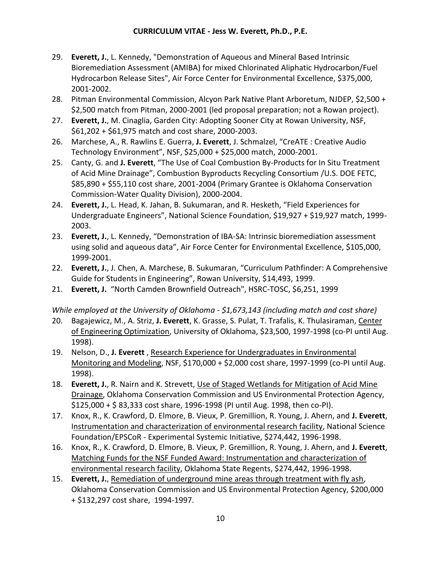- 29. **Everett, J.**, L. Kennedy, "Demonstration of Aqueous and Mineral Based Intrinsic Bioremediation Assessment (AMIBA) for mixed Chlorinated Aliphatic Hydrocarbon/Fuel Hydrocarbon Release Sites", Air Force Center for Environmental Excellence, \$375,000, 2001-2002.
- 28. Pitman Environmental Commission, Alcyon Park Native Plant Arboretum, NJDEP, \$2,500 + \$2,500 match from Pitman, 2000-2001 (led proposal preparation; not a Rowan project).
- 27. **Everett, J.**, M. Cinaglia, Garden City: Adopting Sooner City at Rowan University, NSF, \$61,202 + \$61,975 match and cost share, 2000-2003.
- 26. Marchese, A., R. Rawlins E. Guerra, **J. Everett**, J. Schmalzel, "CreATE : Creative Audio Technology Environment", NSF, \$25,000 + \$25,000 match, 2000-2001.
- 25. Canty, G. and **J. Everett**, "The Use of Coal Combustion By-Products for In Situ Treatment of Acid Mine Drainage", Combustion Byproducts Recycling Consortium /U.S. DOE FETC, \$85,890 + \$55,110 cost share, 2001-2004 (Primary Grantee is Oklahoma Conservation Commission-Water Quality Division), 2000-2004.
- 24. **Everett, J.**, L. Head, K. Jahan, B. Sukumaran, and R. Hesketh, "Field Experiences for Undergraduate Engineers", National Science Foundation, \$19,927 + \$19,927 match, 1999- 2003.
- 23. **Everett, J.**, L. Kennedy, "Demonstration of IBA-SA: Intrinsic bioremediation assessment using solid and aqueous data", Air Force Center for Environmental Excellence, \$105,000, 1999-2001.
- 22. **Everett, J.**, J. Chen, A. Marchese, B. Sukumaran, "Curriculum Pathfinder: A Comprehensive Guide for Students in Engineering", Rowan University, \$14,493, 1999.
- 21. **Everett, J.** "North Camden Brownfield Outreach", HSRC-TOSC, \$6,251, 1999

*While employed at the University of Oklahoma - \$1,673,143 (including match and cost share)*

- 20. Bagajewicz, M., A. Striz, **J. Everett**, K. Grasse, S. Pulat, T. Trafalis, K. Thulasiraman, Center of Engineering Optimization, University of Oklahoma, \$23,500, 1997-1998 (co-PI until Aug. 1998).
- 19. Nelson, D., **J. Everett** , Research Experience for Undergraduates in Environmental Monitoring and Modeling, NSF, \$170,000 + \$2,000 cost share, 1997-1999 (co-PI until Aug. 1998).
- 18. **Everett, J.**, R. Nairn and K. Strevett, Use of Staged Wetlands for Mitigation of Acid Mine Drainage, Oklahoma Conservation Commission and US Environmental Protection Agency, \$125,000 + \$ 83,333 cost share, 1996-1998 (PI until Aug. 1998, then co-PI).
- 17. Knox, R., K. Crawford, D. Elmore, B. Vieux, P. Gremillion, R. Young, J. Ahern, and **J. Everett**, Instrumentation and characterization of environmental research facility, National Science Foundation/EPSCoR - Experimental Systemic Initiative, \$274,442, 1996-1998.
- 16. Knox, R., K. Crawford, D. Elmore, B. Vieux, P. Gremillion, R. Young, J. Ahern, and **J. Everett**, Matching Funds for the NSF Funded Award: Instrumentation and characterization of environmental research facility, Oklahoma State Regents, \$274,442, 1996-1998.
- 15. **Everett, J.**, Remediation of underground mine areas through treatment with fly ash, Oklahoma Conservation Commission and US Environmental Protection Agency, \$200,000 + \$132,297 cost share, 1994-1997.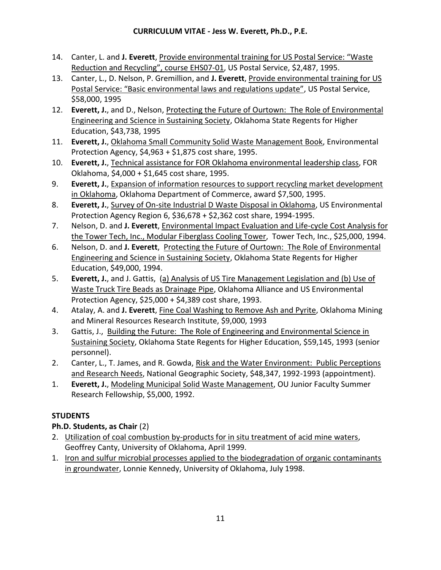- 14. Canter, L. and **J. Everett**, Provide environmental training for US Postal Service: "Waste Reduction and Recycling", course EHS07-01, US Postal Service, \$2,487, 1995.
- 13. Canter, L., D. Nelson, P. Gremillion, and **J. Everett**, Provide environmental training for US Postal Service: "Basic environmental laws and regulations update", US Postal Service, \$58,000, 1995
- 12. **Everett, J.**, and D., Nelson, Protecting the Future of Ourtown: The Role of Environmental Engineering and Science in Sustaining Society, Oklahoma State Regents for Higher Education, \$43,738, 1995
- 11. **Everett, J.**, Oklahoma Small Community Solid Waste Management Book, Environmental Protection Agency, \$4,963 + \$1,875 cost share, 1995.
- 10. **Everett, J.**, Technical assistance for FOR Oklahoma environmental leadership class, FOR Oklahoma, \$4,000 + \$1,645 cost share, 1995.
- 9. **Everett, J.**, Expansion of information resources to support recycling market development in Oklahoma, Oklahoma Department of Commerce, award \$7,500, 1995.
- 8. **Everett, J.**, Survey of On-site Industrial D Waste Disposal in Oklahoma, US Environmental Protection Agency Region 6, \$36,678 + \$2,362 cost share, 1994-1995.
- 7. Nelson, D. and **J. Everett**, Environmental Impact Evaluation and Life-cycle Cost Analysis for the Tower Tech, Inc., Modular Fiberglass Cooling Tower, Tower Tech, Inc., \$25,000, 1994.
- 6. Nelson, D. and **J. Everett**, Protecting the Future of Ourtown: The Role of Environmental Engineering and Science in Sustaining Society, Oklahoma State Regents for Higher Education, \$49,000, 1994.
- 5. **Everett, J.**, and J. Gattis, (a) Analysis of US Tire Management Legislation and (b) Use of Waste Truck Tire Beads as Drainage Pipe, Oklahoma Alliance and US Environmental Protection Agency, \$25,000 + \$4,389 cost share, 1993.
- 4. Atalay, A. and **J. Everett**, Fine Coal Washing to Remove Ash and Pyrite, Oklahoma Mining and Mineral Resources Research Institute, \$9,000, 1993
- 3. Gattis, J., Building the Future: The Role of Engineering and Environmental Science in Sustaining Society, Oklahoma State Regents for Higher Education, \$59,145, 1993 (senior personnel).
- 2. Canter, L., T. James, and R. Gowda, Risk and the Water Environment: Public Perceptions and Research Needs, National Geographic Society, \$48,347, 1992-1993 (appointment).
- 1. **Everett, J.**, Modeling Municipal Solid Waste Management, OU Junior Faculty Summer Research Fellowship, \$5,000, 1992.

# **STUDENTS**

# **Ph.D. Students, as Chair** (2)

- 2. Utilization of coal combustion by-products for in situ treatment of acid mine waters, Geoffrey Canty, University of Oklahoma, April 1999.
- 1. Iron and sulfur microbial processes applied to the biodegradation of organic contaminants in groundwater, Lonnie Kennedy, University of Oklahoma, July 1998.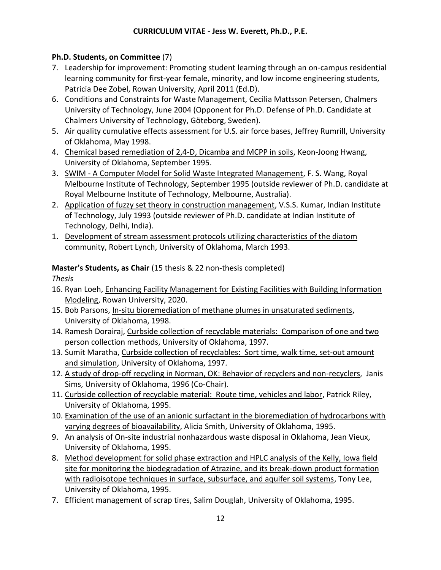# **Ph.D. Students, on Committee** (7)

- 7. Leadership for improvement: Promoting student learning through an on-campus residential learning community for first-year female, minority, and low income engineering students, Patricia Dee Zobel, Rowan University, April 2011 (Ed.D).
- 6. Conditions and Constraints for Waste Management, Cecilia Mattsson Petersen, Chalmers University of Technology, June 2004 (Opponent for Ph.D. Defense of Ph.D. Candidate at Chalmers University of Technology, Göteborg, Sweden).
- 5. Air quality cumulative effects assessment for U.S. air force bases, Jeffrey Rumrill, University of Oklahoma, May 1998.
- 4. Chemical based remediation of 2,4-D, Dicamba and MCPP in soils, Keon-Joong Hwang, University of Oklahoma, September 1995.
- 3. SWIM A Computer Model for Solid Waste Integrated Management, F. S. Wang, Royal Melbourne Institute of Technology, September 1995 (outside reviewer of Ph.D. candidate at Royal Melbourne Institute of Technology, Melbourne, Australia).
- 2. Application of fuzzy set theory in construction management, V.S.S. Kumar, Indian Institute of Technology, July 1993 (outside reviewer of Ph.D. candidate at Indian Institute of Technology, Delhi, India).
- 1. Development of stream assessment protocols utilizing characteristics of the diatom community, Robert Lynch, University of Oklahoma, March 1993.

# **Master's Students, as Chair** (15 thesis & 22 non-thesis completed)

*Thesis* 

- 16. Ryan Loeh, Enhancing Facility Management for Existing Facilities with Building Information Modeling, Rowan University, 2020.
- 15. Bob Parsons, In-situ bioremediation of methane plumes in unsaturated sediments, University of Oklahoma, 1998.
- 14. Ramesh Dorairaj, Curbside collection of recyclable materials: Comparison of one and two person collection methods, University of Oklahoma, 1997.
- 13. Sumit Maratha, Curbside collection of recyclables: Sort time, walk time, set-out amount and simulation, University of Oklahoma, 1997.
- 12. A study of drop-off recycling in Norman, OK: Behavior of recyclers and non-recyclers, Janis Sims, University of Oklahoma, 1996 (Co-Chair).
- 11. Curbside collection of recyclable material: Route time, vehicles and labor, Patrick Riley, University of Oklahoma, 1995.
- 10. Examination of the use of an anionic surfactant in the bioremediation of hydrocarbons with varying degrees of bioavailability, Alicia Smith, University of Oklahoma, 1995.
- 9. An analysis of On-site industrial nonhazardous waste disposal in Oklahoma, Jean Vieux, University of Oklahoma, 1995.
- 8. Method development for solid phase extraction and HPLC analysis of the Kelly, Iowa field site for monitoring the biodegradation of Atrazine, and its break-down product formation with radioisotope techniques in surface, subsurface, and aquifer soil systems, Tony Lee, University of Oklahoma, 1995.
- 7. Efficient management of scrap tires, Salim Douglah, University of Oklahoma, 1995.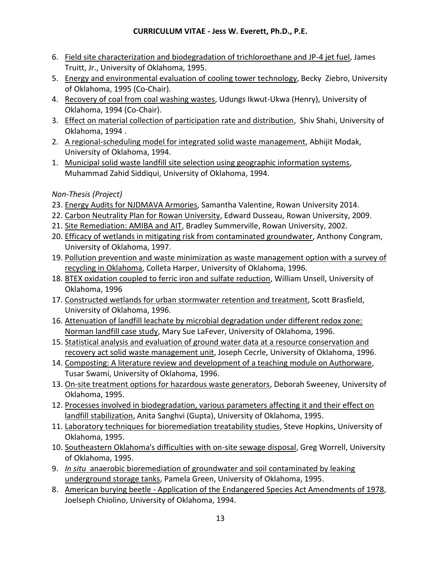- 6. Field site characterization and biodegradation of trichloroethane and JP-4 jet fuel, James Truitt, Jr., University of Oklahoma, 1995.
- 5. Energy and environmental evaluation of cooling tower technology, Becky Ziebro, University of Oklahoma, 1995 (Co-Chair).
- 4. Recovery of coal from coal washing wastes, Udungs Ikwut-Ukwa (Henry), University of Oklahoma, 1994 (Co-Chair).
- 3. Effect on material collection of participation rate and distribution, Shiv Shahi, University of Oklahoma, 1994 .
- 2. A regional-scheduling model for integrated solid waste management, Abhijit Modak, University of Oklahoma, 1994.
- 1. Municipal solid waste landfill site selection using geographic information systems, Muhammad Zahid Siddiqui, University of Oklahoma, 1994.

# *Non-Thesis (Project)*

- 23. Energy Audits for NJDMAVA Armories, Samantha Valentine, Rowan University 2014.
- 22. Carbon Neutrality Plan for Rowan University, Edward Dusseau, Rowan University, 2009.
- 21. Site Remediation: AMIBA and AIT, Bradley Summerville, Rowan University, 2002.
- 20. Efficacy of wetlands in mitigating risk from contaminated groundwater, Anthony Congram, University of Oklahoma, 1997.
- 19. Pollution prevention and waste minimization as waste management option with a survey of recycling in Oklahoma, Colleta Harper, University of Oklahoma, 1996.
- 18. BTEX oxidation coupled to ferric iron and sulfate reduction, William Unsell, University of Oklahoma, 1996
- 17. Constructed wetlands for urban stormwater retention and treatment, Scott Brasfield, University of Oklahoma, 1996.
- 16. Attenuation of landfill leachate by microbial degradation under different redox zone: Norman landfill case study, Mary Sue LaFever, University of Oklahoma, 1996.
- 15. Statistical analysis and evaluation of ground water data at a resource conservation and recovery act solid waste management unit, Joseph Cecrle, University of Oklahoma, 1996.
- 14. Composting: A literature review and development of a teaching module on Authorware, Tusar Swami, University of Oklahoma, 1996.
- 13. On-site treatment options for hazardous waste generators, Deborah Sweeney, University of Oklahoma, 1995.
- 12. Processes involved in biodegradation, various parameters affecting it and their effect on landfill stabilization, Anita Sanghvi (Gupta), University of Oklahoma, 1995.
- 11. Laboratory techniques for bioremediation treatability studies, Steve Hopkins, University of Oklahoma, 1995.
- 10. Southeastern Oklahoma's difficulties with on-site sewage disposal, Greg Worrell, University of Oklahoma, 1995.
- 9. *In situ* anaerobic bioremediation of groundwater and soil contaminated by leaking underground storage tanks, Pamela Green, University of Oklahoma, 1995.
- 8. American burying beetle Application of the Endangered Species Act Amendments of 1978, Joelseph Chiolino, University of Oklahoma, 1994.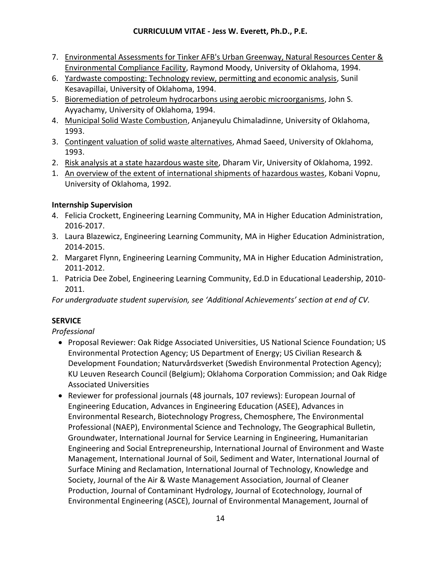- 7. Environmental Assessments for Tinker AFB's Urban Greenway, Natural Resources Center & Environmental Compliance Facility, Raymond Moody, University of Oklahoma, 1994.
- 6. Yardwaste composting: Technology review, permitting and economic analysis, Sunil Kesavapillai, University of Oklahoma, 1994.
- 5. Bioremediation of petroleum hydrocarbons using aerobic microorganisms, John S. Ayyachamy, University of Oklahoma, 1994.
- 4. Municipal Solid Waste Combustion, Anjaneyulu Chimaladinne, University of Oklahoma, 1993.
- 3. Contingent valuation of solid waste alternatives, Ahmad Saeed, University of Oklahoma, 1993.
- 2. Risk analysis at a state hazardous waste site, Dharam Vir, University of Oklahoma, 1992.
- 1. An overview of the extent of international shipments of hazardous wastes, Kobani Vopnu, University of Oklahoma, 1992.

# **Internship Supervision**

- 4. Felicia Crockett, Engineering Learning Community, MA in Higher Education Administration, 2016-2017.
- 3. Laura Blazewicz, Engineering Learning Community, MA in Higher Education Administration, 2014-2015.
- 2. Margaret Flynn, Engineering Learning Community, MA in Higher Education Administration, 2011-2012.
- 1. Patricia Dee Zobel, Engineering Learning Community, Ed.D in Educational Leadership, 2010- 2011.

*For undergraduate student supervision, see 'Additional Achievements' section at end of CV.*

# **SERVICE**

*Professional*

- Proposal Reviewer: Oak Ridge Associated Universities, US National Science Foundation; US Environmental Protection Agency; US Department of Energy; US Civilian Research & Development Foundation; Naturvårdsverket (Swedish Environmental Protection Agency); KU Leuven Research Council (Belgium); Oklahoma Corporation Commission; and Oak Ridge Associated Universities
- Reviewer for professional journals (48 journals, 107 reviews): European Journal of Engineering Education, Advances in Engineering Education (ASEE), Advances in Environmental Research, Biotechnology Progress, Chemosphere, The Environmental Professional (NAEP), Environmental Science and Technology, The Geographical Bulletin, Groundwater, International Journal for Service Learning in Engineering, Humanitarian Engineering and Social Entrepreneurship, International Journal of Environment and Waste Management, International Journal of Soil, Sediment and Water, International Journal of Surface Mining and Reclamation, International Journal of Technology, Knowledge and Society, Journal of the Air & Waste Management Association, Journal of Cleaner Production, Journal of Contaminant Hydrology, Journal of Ecotechnology, Journal of Environmental Engineering (ASCE), Journal of Environmental Management, Journal of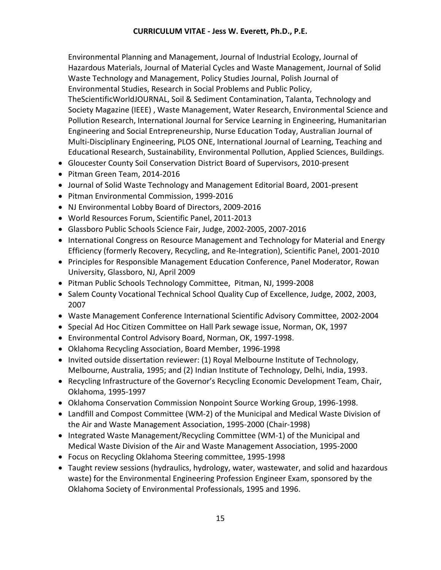Environmental Planning and Management, Journal of Industrial Ecology, Journal of Hazardous Materials, Journal of Material Cycles and Waste Management, Journal of Solid Waste Technology and Management, Policy Studies Journal, Polish Journal of Environmental Studies, Research in Social Problems and Public Policy, TheScientificWorldJOURNAL, Soil & Sediment Contamination, Talanta, Technology and Society Magazine (IEEE) , Waste Management, Water Research, Environmental Science and Pollution Research, International Journal for Service Learning in Engineering, Humanitarian Engineering and Social Entrepreneurship, Nurse Education Today, Australian Journal of Multi-Disciplinary Engineering, PLOS ONE, International Journal of Learning, Teaching and Educational Research, Sustainability, Environmental Pollution, Applied Sciences, Buildings.

- Gloucester County Soil Conservation District Board of Supervisors, 2010-present
- Pitman Green Team, 2014-2016
- Journal of Solid Waste Technology and Management Editorial Board, 2001-present
- Pitman Environmental Commission, 1999-2016
- NJ Environmental Lobby Board of Directors, 2009-2016
- World Resources Forum, Scientific Panel, 2011-2013
- Glassboro Public Schools Science Fair, Judge, 2002-2005, 2007-2016
- International Congress on Resource Management and Technology for Material and Energy Efficiency (formerly Recovery, Recycling, and Re-Integration), Scientific Panel, 2001-2010
- Principles for Responsible Management Education Conference, Panel Moderator, Rowan University, Glassboro, NJ, April 2009
- Pitman Public Schools Technology Committee, Pitman, NJ, 1999-2008
- Salem County Vocational Technical School Quality Cup of Excellence, Judge, 2002, 2003, 2007
- Waste Management Conference International Scientific Advisory Committee, 2002-2004
- Special Ad Hoc Citizen Committee on Hall Park sewage issue, Norman, OK, 1997
- Environmental Control Advisory Board, Norman, OK, 1997-1998.
- Oklahoma Recycling Association, Board Member, 1996-1998
- Invited outside dissertation reviewer: (1) Royal Melbourne Institute of Technology, Melbourne, Australia, 1995; and (2) Indian Institute of Technology, Delhi, India, 1993.
- Recycling Infrastructure of the Governor's Recycling Economic Development Team, Chair, Oklahoma, 1995-1997
- Oklahoma Conservation Commission Nonpoint Source Working Group, 1996-1998.
- Landfill and Compost Committee (WM-2) of the Municipal and Medical Waste Division of the Air and Waste Management Association, 1995-2000 (Chair-1998)
- Integrated Waste Management/Recycling Committee (WM-1) of the Municipal and Medical Waste Division of the Air and Waste Management Association, 1995-2000
- Focus on Recycling Oklahoma Steering committee, 1995-1998
- Taught review sessions (hydraulics, hydrology, water, wastewater, and solid and hazardous waste) for the Environmental Engineering Profession Engineer Exam, sponsored by the Oklahoma Society of Environmental Professionals, 1995 and 1996.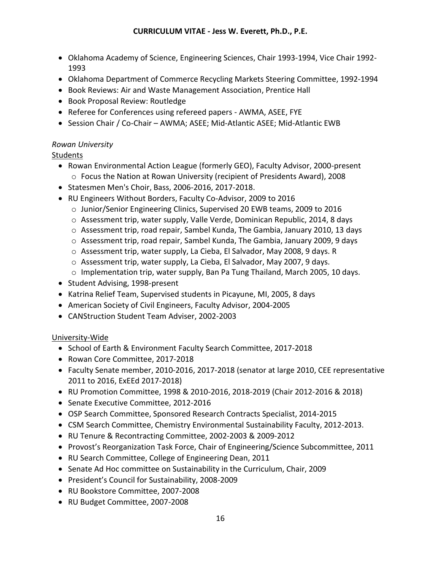- Oklahoma Academy of Science, Engineering Sciences, Chair 1993-1994, Vice Chair 1992- 1993
- Oklahoma Department of Commerce Recycling Markets Steering Committee, 1992-1994
- Book Reviews: Air and Waste Management Association, Prentice Hall
- Book Proposal Review: Routledge
- Referee for Conferences using refereed papers AWMA, ASEE, FYE
- Session Chair / Co-Chair AWMA; ASEE; Mid-Atlantic ASEE; Mid-Atlantic EWB

## *Rowan University*

## **Students**

- Rowan Environmental Action League (formerly GEO), Faculty Advisor, 2000-present o Focus the Nation at Rowan University (recipient of Presidents Award), 2008
- Statesmen Men's Choir, Bass, 2006-2016, 2017-2018.
- RU Engineers Without Borders, Faculty Co-Advisor, 2009 to 2016
	- o Junior/Senior Engineering Clinics, Supervised 20 EWB teams, 2009 to 2016
	- o Assessment trip, water supply, Valle Verde, Dominican Republic, 2014, 8 days
	- o Assessment trip, road repair, Sambel Kunda, The Gambia, January 2010, 13 days
	- o Assessment trip, road repair, Sambel Kunda, The Gambia, January 2009, 9 days
	- o Assessment trip, water supply, La Cieba, El Salvador, May 2008, 9 days. R
	- o Assessment trip, water supply, La Cieba, El Salvador, May 2007, 9 days.
	- o Implementation trip, water supply, Ban Pa Tung Thailand, March 2005, 10 days.
- Student Advising, 1998-present
- Katrina Relief Team, Supervised students in Picayune, MI, 2005, 8 days
- American Society of Civil Engineers, Faculty Advisor, 2004-2005
- CANStruction Student Team Adviser, 2002-2003

## University-Wide

- School of Earth & Environment Faculty Search Committee, 2017-2018
- Rowan Core Committee, 2017-2018
- Faculty Senate member, 2010-2016, 2017-2018 (senator at large 2010, CEE representative 2011 to 2016, ExEEd 2017-2018)
- RU Promotion Committee, 1998 & 2010-2016, 2018-2019 (Chair 2012-2016 & 2018)
- Senate Executive Committee, 2012-2016
- OSP Search Committee, Sponsored Research Contracts Specialist, 2014-2015
- CSM Search Committee, Chemistry Environmental Sustainability Faculty, 2012-2013.
- RU Tenure & Recontracting Committee, 2002-2003 & 2009-2012
- Provost's Reorganization Task Force, Chair of Engineering/Science Subcommittee, 2011
- RU Search Committee, College of Engineering Dean, 2011
- Senate Ad Hoc committee on Sustainability in the Curriculum, Chair, 2009
- President's Council for Sustainability, 2008-2009
- RU Bookstore Committee, 2007-2008
- RU Budget Committee, 2007-2008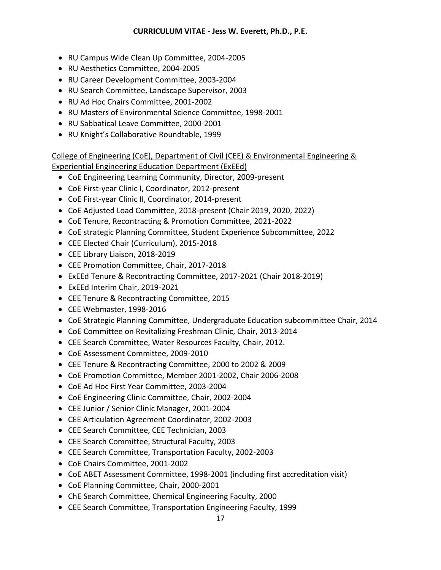- RU Campus Wide Clean Up Committee, 2004-2005
- RU Aesthetics Committee, 2004-2005
- RU Career Development Committee, 2003-2004
- RU Search Committee, Landscape Supervisor, 2003
- RU Ad Hoc Chairs Committee, 2001-2002
- RU Masters of Environmental Science Committee, 1998-2001
- RU Sabbatical Leave Committee, 2000-2001
- RU Knight's Collaborative Roundtable, 1999

College of Engineering (CoE), Department of Civil (CEE) & Environmental Engineering & Experiential Engineering Education Department (ExEEd)

- CoE Engineering Learning Community, Director, 2009-present
- CoE First-year Clinic I, Coordinator, 2012-present
- CoE First-year Clinic II, Coordinator, 2014-present
- CoE Adjusted Load Committee, 2018-present (Chair 2019, 2020, 2022)
- CoE Tenure, Recontracting & Promotion Committee, 2021-2022
- CoE strategic Planning Committee, Student Experience Subcommittee, 2022
- CEE Elected Chair (Curriculum), 2015-2018
- CEE Library Liaison, 2018-2019
- CEE Promotion Committee, Chair, 2017-2018
- ExEEd Tenure & Recontracting Committee, 2017-2021 (Chair 2018-2019)
- ExEEd Interim Chair, 2019-2021
- CEE Tenure & Recontracting Committee, 2015
- CEE Webmaster, 1998-2016
- CoE Strategic Planning Committee, Undergraduate Education subcommittee Chair, 2014
- CoE Committee on Revitalizing Freshman Clinic, Chair, 2013-2014
- CEE Search Committee, Water Resources Faculty, Chair, 2012.
- CoE Assessment Committee, 2009-2010
- CEE Tenure & Recontracting Committee, 2000 to 2002 & 2009
- CoE Promotion Committee, Member 2001-2002, Chair 2006-2008
- CoE Ad Hoc First Year Committee, 2003-2004
- CoE Engineering Clinic Committee, Chair, 2002-2004
- CEE Junior / Senior Clinic Manager, 2001-2004
- CEE Articulation Agreement Coordinator, 2002-2003
- CEE Search Committee, CEE Technician, 2003
- CEE Search Committee, Structural Faculty, 2003
- CEE Search Committee, Transportation Faculty, 2002-2003
- CoE Chairs Committee, 2001-2002
- CoE ABET Assessment Committee, 1998-2001 (including first accreditation visit)
- CoE Planning Committee, Chair, 2000-2001
- ChE Search Committee, Chemical Engineering Faculty, 2000
- CEE Search Committee, Transportation Engineering Faculty, 1999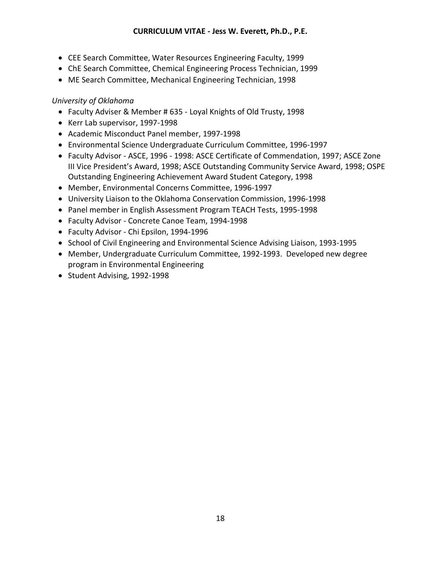- CEE Search Committee, Water Resources Engineering Faculty, 1999
- ChE Search Committee, Chemical Engineering Process Technician, 1999
- ME Search Committee, Mechanical Engineering Technician, 1998

## *University of Oklahoma*

- Faculty Adviser & Member # 635 Loyal Knights of Old Trusty, 1998
- Kerr Lab supervisor, 1997-1998
- Academic Misconduct Panel member, 1997-1998
- Environmental Science Undergraduate Curriculum Committee, 1996-1997
- Faculty Advisor ASCE, 1996 1998: ASCE Certificate of Commendation, 1997; ASCE Zone III Vice President's Award, 1998; ASCE Outstanding Community Service Award, 1998; OSPE Outstanding Engineering Achievement Award Student Category, 1998
- Member, Environmental Concerns Committee, 1996-1997
- University Liaison to the Oklahoma Conservation Commission, 1996-1998
- Panel member in English Assessment Program TEACH Tests, 1995-1998
- Faculty Advisor Concrete Canoe Team, 1994-1998
- Faculty Advisor Chi Epsilon, 1994-1996
- School of Civil Engineering and Environmental Science Advising Liaison, 1993-1995
- Member, Undergraduate Curriculum Committee, 1992-1993. Developed new degree program in Environmental Engineering
- Student Advising, 1992-1998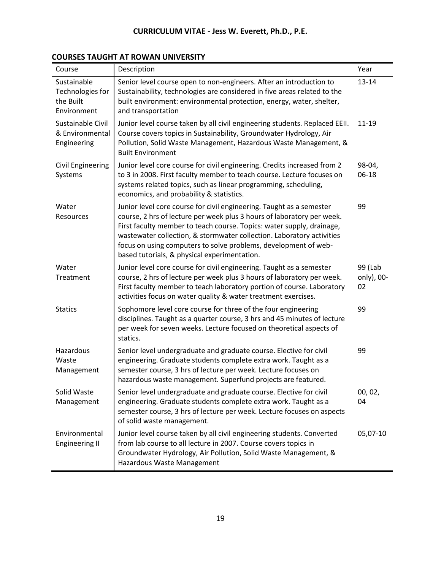| Course                                                      | Description                                                                                                                                                                                                                                                                                                                                                                                                         | Year                        |
|-------------------------------------------------------------|---------------------------------------------------------------------------------------------------------------------------------------------------------------------------------------------------------------------------------------------------------------------------------------------------------------------------------------------------------------------------------------------------------------------|-----------------------------|
| Sustainable<br>Technologies for<br>the Built<br>Environment | Senior level course open to non-engineers. After an introduction to<br>Sustainability, technologies are considered in five areas related to the<br>built environment: environmental protection, energy, water, shelter,<br>and transportation                                                                                                                                                                       | 13-14                       |
| Sustainable Civil<br>& Environmental<br>Engineering         | Junior level course taken by all civil engineering students. Replaced EEII.<br>Course covers topics in Sustainability, Groundwater Hydrology, Air<br>Pollution, Solid Waste Management, Hazardous Waste Management, &<br><b>Built Environment</b>                                                                                                                                                                   | $11 - 19$                   |
| <b>Civil Engineering</b><br>Systems                         | Junior level core course for civil engineering. Credits increased from 2<br>to 3 in 2008. First faculty member to teach course. Lecture focuses on<br>systems related topics, such as linear programming, scheduling,<br>economics, and probability & statistics.                                                                                                                                                   | 98-04,<br>06-18             |
| Water<br>Resources                                          | Junior level core course for civil engineering. Taught as a semester<br>course, 2 hrs of lecture per week plus 3 hours of laboratory per week.<br>First faculty member to teach course. Topics: water supply, drainage,<br>wastewater collection, & stormwater collection. Laboratory activities<br>focus on using computers to solve problems, development of web-<br>based tutorials, & physical experimentation. | 99                          |
| Water<br>Treatment                                          | Junior level core course for civil engineering. Taught as a semester<br>course, 2 hrs of lecture per week plus 3 hours of laboratory per week.<br>First faculty member to teach laboratory portion of course. Laboratory<br>activities focus on water quality & water treatment exercises.                                                                                                                          | 99 (Lab<br>only), 00-<br>02 |
| <b>Statics</b>                                              | Sophomore level core course for three of the four engineering<br>disciplines. Taught as a quarter course, 3 hrs and 45 minutes of lecture<br>per week for seven weeks. Lecture focused on theoretical aspects of<br>statics.                                                                                                                                                                                        | 99                          |
| Hazardous<br>Waste<br>Management                            | Senior level undergraduate and graduate course. Elective for civil<br>engineering. Graduate students complete extra work. Taught as a<br>semester course, 3 hrs of lecture per week. Lecture focuses on<br>hazardous waste management. Superfund projects are featured.                                                                                                                                             | 99                          |
| Solid Waste<br>Management                                   | Senior level undergraduate and graduate course. Elective for civil<br>engineering. Graduate students complete extra work. Taught as a<br>semester course, 3 hrs of lecture per week. Lecture focuses on aspects<br>of solid waste management.                                                                                                                                                                       | 00, 02,<br>04               |
| Environmental<br><b>Engineering II</b>                      | Junior level course taken by all civil engineering students. Converted<br>from lab course to all lecture in 2007. Course covers topics in<br>Groundwater Hydrology, Air Pollution, Solid Waste Management, &<br>Hazardous Waste Management                                                                                                                                                                          | 05,07-10                    |

# **COURSES TAUGHT AT ROWAN UNIVERSITY**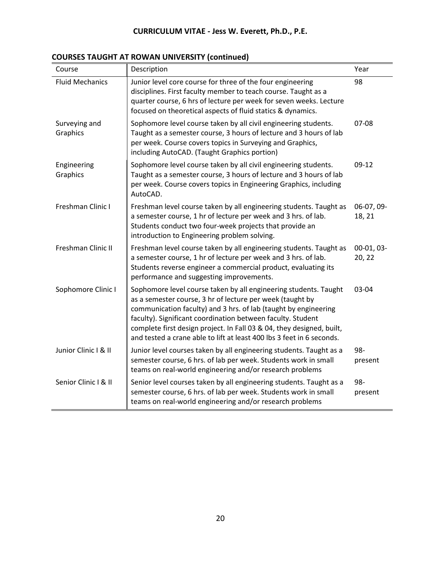| Course                    | Description                                                                                                                                                                                                                                                                                                                                                                                                       | Year                 |
|---------------------------|-------------------------------------------------------------------------------------------------------------------------------------------------------------------------------------------------------------------------------------------------------------------------------------------------------------------------------------------------------------------------------------------------------------------|----------------------|
| <b>Fluid Mechanics</b>    | Junior level core course for three of the four engineering<br>disciplines. First faculty member to teach course. Taught as a<br>quarter course, 6 hrs of lecture per week for seven weeks. Lecture<br>focused on theoretical aspects of fluid statics & dynamics.                                                                                                                                                 | 98                   |
| Surveying and<br>Graphics | Sophomore level course taken by all civil engineering students.<br>Taught as a semester course, 3 hours of lecture and 3 hours of lab<br>per week. Course covers topics in Surveying and Graphics,<br>including AutoCAD. (Taught Graphics portion)                                                                                                                                                                | 07-08                |
| Engineering<br>Graphics   | Sophomore level course taken by all civil engineering students.<br>Taught as a semester course, 3 hours of lecture and 3 hours of lab<br>per week. Course covers topics in Engineering Graphics, including<br>AutoCAD.                                                                                                                                                                                            | $09-12$              |
| Freshman Clinic I         | Freshman level course taken by all engineering students. Taught as<br>a semester course, 1 hr of lecture per week and 3 hrs. of lab.<br>Students conduct two four-week projects that provide an<br>introduction to Engineering problem solving.                                                                                                                                                                   | 06-07, 09-<br>18, 21 |
| Freshman Clinic II        | Freshman level course taken by all engineering students. Taught as<br>a semester course, 1 hr of lecture per week and 3 hrs. of lab.<br>Students reverse engineer a commercial product, evaluating its<br>performance and suggesting improvements.                                                                                                                                                                | 00-01, 03-<br>20, 22 |
| Sophomore Clinic I        | Sophomore level course taken by all engineering students. Taught<br>as a semester course, 3 hr of lecture per week (taught by<br>communication faculty) and 3 hrs. of lab (taught by engineering<br>faculty). Significant coordination between faculty. Student<br>complete first design project. In Fall 03 & 04, they designed, built,<br>and tested a crane able to lift at least 400 lbs 3 feet in 6 seconds. | 03-04                |
| Junior Clinic I & II      | Junior level courses taken by all engineering students. Taught as a<br>semester course, 6 hrs. of lab per week. Students work in small<br>teams on real-world engineering and/or research problems                                                                                                                                                                                                                | 98-<br>present       |
| Senior Clinic I & II      | Senior level courses taken by all engineering students. Taught as a<br>semester course, 6 hrs. of lab per week. Students work in small<br>teams on real-world engineering and/or research problems                                                                                                                                                                                                                | 98-<br>present       |

# **COURSES TAUGHT AT ROWAN UNIVERSITY (continued)**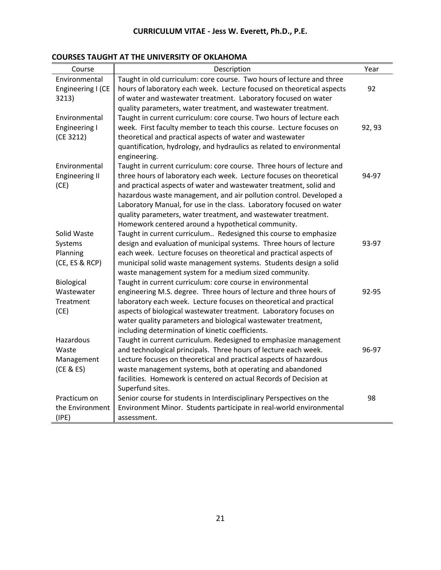| Course                | Description                                                           | Year   |
|-----------------------|-----------------------------------------------------------------------|--------|
| Environmental         | Taught in old curriculum: core course. Two hours of lecture and three |        |
| Engineering I (CE     | hours of laboratory each week. Lecture focused on theoretical aspects | 92     |
| 3213)                 | of water and wastewater treatment. Laboratory focused on water        |        |
|                       | quality parameters, water treatment, and wastewater treatment.        |        |
| Environmental         | Taught in current curriculum: core course. Two hours of lecture each  |        |
| <b>Engineering I</b>  | week. First faculty member to teach this course. Lecture focuses on   | 92, 93 |
| (CE 3212)             | theoretical and practical aspects of water and wastewater             |        |
|                       | quantification, hydrology, and hydraulics as related to environmental |        |
|                       | engineering.                                                          |        |
| Environmental         | Taught in current curriculum: core course. Three hours of lecture and |        |
| <b>Engineering II</b> | three hours of laboratory each week. Lecture focuses on theoretical   | 94-97  |
| (CE)                  | and practical aspects of water and wastewater treatment, solid and    |        |
|                       | hazardous waste management, and air pollution control. Developed a    |        |
|                       | Laboratory Manual, for use in the class. Laboratory focused on water  |        |
|                       | quality parameters, water treatment, and wastewater treatment.        |        |
|                       | Homework centered around a hypothetical community.                    |        |
| Solid Waste           | Taught in current curriculum Redesigned this course to emphasize      |        |
| Systems               | design and evaluation of municipal systems. Three hours of lecture    | 93-97  |
| Planning              | each week. Lecture focuses on theoretical and practical aspects of    |        |
| (CE, ES & RCP)        | municipal solid waste management systems. Students design a solid     |        |
|                       | waste management system for a medium sized community.                 |        |
| Biological            | Taught in current curriculum: core course in environmental            |        |
| Wastewater            | engineering M.S. degree. Three hours of lecture and three hours of    | 92-95  |
| Treatment             | laboratory each week. Lecture focuses on theoretical and practical    |        |
| (CE)                  | aspects of biological wastewater treatment. Laboratory focuses on     |        |
|                       | water quality parameters and biological wastewater treatment,         |        |
|                       | including determination of kinetic coefficients.                      |        |
| Hazardous             | Taught in current curriculum. Redesigned to emphasize management      |        |
| Waste                 | and technological principals. Three hours of lecture each week.       | 96-97  |
| Management            | Lecture focuses on theoretical and practical aspects of hazardous     |        |
| (CE & ES)             | waste management systems, both at operating and abandoned             |        |
|                       | facilities. Homework is centered on actual Records of Decision at     |        |
|                       | Superfund sites.                                                      |        |
| Practicum on          | Senior course for students in Interdisciplinary Perspectives on the   | 98     |
| the Environment       | Environment Minor. Students participate in real-world environmental   |        |
| (IPE)                 | assessment.                                                           |        |

## **COURSES TAUGHT AT THE UNIVERSITY OF OKLAHOMA**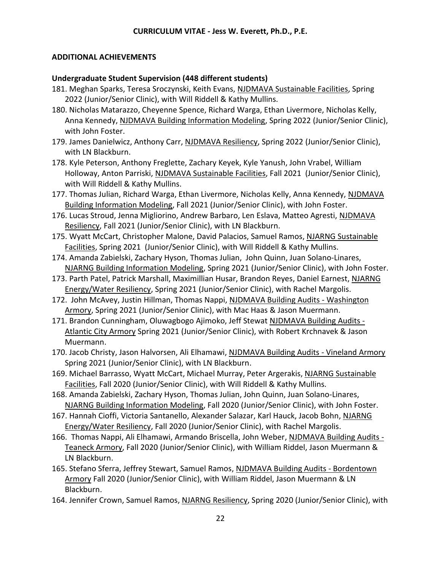#### **ADDITIONAL ACHIEVEMENTS**

#### **Undergraduate Student Supervision (448 different students)**

- 181. Meghan Sparks, Teresa Sroczynski, Keith Evans, NJDMAVA Sustainable Facilities, Spring 2022 (Junior/Senior Clinic), with Will Riddell & Kathy Mullins.
- 180. Nicholas Matarazzo, Cheyenne Spence, Richard Warga, Ethan Livermore, Nicholas Kelly, Anna Kennedy, NJDMAVA Building Information Modeling, Spring 2022 (Junior/Senior Clinic), with John Foster.
- 179. James Danielwicz, Anthony Carr, NJDMAVA Resiliency, Spring 2022 (Junior/Senior Clinic), with LN Blackburn.
- 178. Kyle Peterson, Anthony Freglette, Zachary Keyek, Kyle Yanush, John Vrabel, William Holloway, Anton Parriski, NJDMAVA Sustainable Facilities, Fall 2021 (Junior/Senior Clinic), with Will Riddell & Kathy Mullins.
- 177. Thomas Julian, Richard Warga, Ethan Livermore, Nicholas Kelly, Anna Kennedy, NJDMAVA Building Information Modeling, Fall 2021 (Junior/Senior Clinic), with John Foster.
- 176. Lucas Stroud, Jenna Migliorino, Andrew Barbaro, Len Eslava, Matteo Agresti, NJDMAVA Resiliency, Fall 2021 (Junior/Senior Clinic), with LN Blackburn.
- 175. Wyatt McCart, Christopher Malone, David Palacios, Samuel Ramos, NJARNG Sustainable Facilities, Spring 2021 (Junior/Senior Clinic), with Will Riddell & Kathy Mullins.
- 174. Amanda Zabielski, Zachary Hyson, Thomas Julian, John Quinn, Juan Solano-Linares, NJARNG Building Information Modeling, Spring 2021 (Junior/Senior Clinic), with John Foster.
- 173. Parth Patel, Patrick Marshall, Maximillian Husar, Brandon Reyes, Daniel Earnest, NJARNG Energy/Water Resiliency, Spring 2021 (Junior/Senior Clinic), with Rachel Margolis.
- 172. John McAvey, Justin Hillman, Thomas Nappi, NJDMAVA Building Audits Washington Armory, Spring 2021 (Junior/Senior Clinic), with Mac Haas & Jason Muermann.
- 171. Brandon Cunningham, Oluwagbogo Ajimoko, Jeff Stewat NJDMAVA Building Audits Atlantic City Armory Spring 2021 (Junior/Senior Clinic), with Robert Krchnavek & Jason Muermann.
- 170. Jacob Christy, Jason Halvorsen, Ali Elhamawi, NJDMAVA Building Audits Vineland Armory Spring 2021 (Junior/Senior Clinic), with LN Blackburn.
- 169. Michael Barrasso, Wyatt McCart, Michael Murray, Peter Argerakis, NJARNG Sustainable Facilities, Fall 2020 (Junior/Senior Clinic), with Will Riddell & Kathy Mullins.
- 168. Amanda Zabielski, Zachary Hyson, Thomas Julian, John Quinn, Juan Solano-Linares, NJARNG Building Information Modeling, Fall 2020 (Junior/Senior Clinic), with John Foster.
- 167. Hannah Cioffi, Victoria Santanello, Alexander Salazar, Karl Hauck, Jacob Bohn, NJARNG Energy/Water Resiliency, Fall 2020 (Junior/Senior Clinic), with Rachel Margolis.
- 166. Thomas Nappi, Ali Elhamawi, Armando Briscella, John Weber, NJDMAVA Building Audits Teaneck Armory, Fall 2020 (Junior/Senior Clinic), with William Riddel, Jason Muermann & LN Blackburn.
- 165. Stefano Sferra, Jeffrey Stewart, Samuel Ramos, NJDMAVA Building Audits Bordentown Armory Fall 2020 (Junior/Senior Clinic), with William Riddel, Jason Muermann & LN Blackburn.
- 164. Jennifer Crown, Samuel Ramos, NJARNG Resiliency, Spring 2020 (Junior/Senior Clinic), with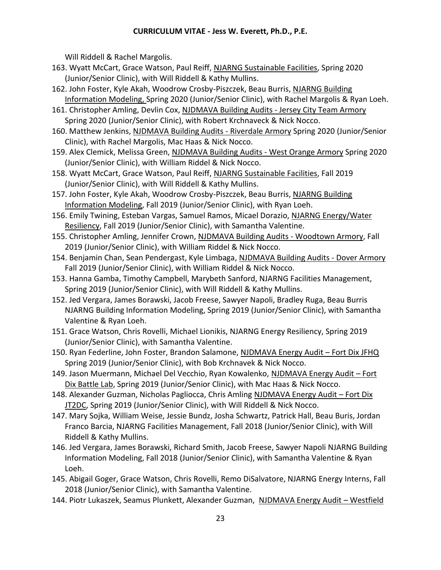Will Riddell & Rachel Margolis.

- 163. Wyatt McCart, Grace Watson, Paul Reiff, NJARNG Sustainable Facilities, Spring 2020 (Junior/Senior Clinic), with Will Riddell & Kathy Mullins.
- 162. John Foster, Kyle Akah, Woodrow Crosby-Piszczek, Beau Burris, NJARNG Building Information Modeling, Spring 2020 (Junior/Senior Clinic), with Rachel Margolis & Ryan Loeh.
- 161. Christopher Amling, Devlin Cox, NJDMAVA Building Audits Jersey City Team Armory Spring 2020 (Junior/Senior Clinic), with Robert Krchnaveck & Nick Nocco.
- 160. Matthew Jenkins, NJDMAVA Building Audits Riverdale Armory Spring 2020 (Junior/Senior Clinic), with Rachel Margolis, Mac Haas & Nick Nocco.
- 159. Alex Clemick, Melissa Green, NJDMAVA Building Audits West Orange Armory Spring 2020 (Junior/Senior Clinic), with William Riddel & Nick Nocco.
- 158. Wyatt McCart, Grace Watson, Paul Reiff, NJARNG Sustainable Facilities, Fall 2019 (Junior/Senior Clinic), with Will Riddell & Kathy Mullins.
- 157. John Foster, Kyle Akah, Woodrow Crosby-Piszczek, Beau Burris, NJARNG Building Information Modeling, Fall 2019 (Junior/Senior Clinic), with Ryan Loeh.
- 156. Emily Twining, Esteban Vargas, Samuel Ramos, Micael Dorazio, NJARNG Energy/Water Resiliency, Fall 2019 (Junior/Senior Clinic), with Samantha Valentine.
- 155. Christopher Amling, Jennifer Crown, NJDMAVA Building Audits Woodtown Armory, Fall 2019 (Junior/Senior Clinic), with William Riddel & Nick Nocco.
- 154. Benjamin Chan, Sean Pendergast, Kyle Limbaga, NJDMAVA Building Audits Dover Armory Fall 2019 (Junior/Senior Clinic), with William Riddel & Nick Nocco.
- 153. Hanna Gamba, Timothy Campbell, Marybeth Sanford, NJARNG Facilities Management, Spring 2019 (Junior/Senior Clinic), with Will Riddell & Kathy Mullins.
- 152. Jed Vergara, James Borawski, Jacob Freese, Sawyer Napoli, Bradley Ruga, Beau Burris NJARNG Building Information Modeling, Spring 2019 (Junior/Senior Clinic), with Samantha Valentine & Ryan Loeh.
- 151. Grace Watson, Chris Rovelli, Michael Lionikis, NJARNG Energy Resiliency, Spring 2019 (Junior/Senior Clinic), with Samantha Valentine.
- 150. Ryan Federline, John Foster, Brandon Salamone, NJDMAVA Energy Audit Fort Dix JFHQ Spring 2019 (Junior/Senior Clinic), with Bob Krchnavek & Nick Nocco.
- 149. Jason Muermann, Michael Del Vecchio, Ryan Kowalenko, NJDMAVA Energy Audit Fort Dix Battle Lab, Spring 2019 (Junior/Senior Clinic), with Mac Haas & Nick Nocco.
- 148. Alexander Guzman, Nicholas Pagliocca, Chris Amling NJDMAVA Energy Audit Fort Dix IT2DC, Spring 2019 (Junior/Senior Clinic), with Will Riddell & Nick Nocco.
- 147. Mary Sojka, William Weise, Jessie Bundz, Josha Schwartz, Patrick Hall, Beau Buris, Jordan Franco Barcia, NJARNG Facilities Management, Fall 2018 (Junior/Senior Clinic), with Will Riddell & Kathy Mullins.
- 146. Jed Vergara, James Borawski, Richard Smith, Jacob Freese, Sawyer Napoli NJARNG Building Information Modeling, Fall 2018 (Junior/Senior Clinic), with Samantha Valentine & Ryan Loeh.
- 145. Abigail Goger, Grace Watson, Chris Rovelli, Remo DiSalvatore, NJARNG Energy Interns, Fall 2018 (Junior/Senior Clinic), with Samantha Valentine.
- 144. Piotr Lukaszek, Seamus Plunkett, Alexander Guzman, NJDMAVA Energy Audit Westfield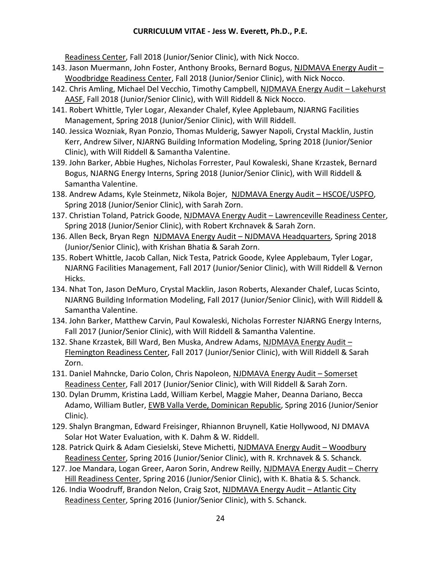Readiness Center, Fall 2018 (Junior/Senior Clinic), with Nick Nocco.

- 143. Jason Muermann, John Foster, Anthony Brooks, Bernard Bogus, NJDMAVA Energy Audit Woodbridge Readiness Center, Fall 2018 (Junior/Senior Clinic), with Nick Nocco.
- 142. Chris Amling, Michael Del Vecchio, Timothy Campbell, NJDMAVA Energy Audit Lakehurst AASF, Fall 2018 (Junior/Senior Clinic), with Will Riddell & Nick Nocco.
- 141. Robert Whittle, Tyler Logar, Alexander Chalef, Kylee Applebaum, NJARNG Facilities Management, Spring 2018 (Junior/Senior Clinic), with Will Riddell.
- 140. Jessica Wozniak, Ryan Ponzio, Thomas Mulderig, Sawyer Napoli, Crystal Macklin, Justin Kerr, Andrew Silver, NJARNG Building Information Modeling, Spring 2018 (Junior/Senior Clinic), with Will Riddell & Samantha Valentine.
- 139. John Barker, Abbie Hughes, Nicholas Forrester, Paul Kowaleski, Shane Krzastek, Bernard Bogus, NJARNG Energy Interns, Spring 2018 (Junior/Senior Clinic), with Will Riddell & Samantha Valentine.
- 138. Andrew Adams, Kyle Steinmetz, Nikola Bojer, NJDMAVA Energy Audit HSCOE/USPFO, Spring 2018 (Junior/Senior Clinic), with Sarah Zorn.
- 137. Christian Toland, Patrick Goode, NJDMAVA Energy Audit Lawrenceville Readiness Center, Spring 2018 (Junior/Senior Clinic), with Robert Krchnavek & Sarah Zorn.
- 136. Allen Beck, Bryan Regn NJDMAVA Energy Audit NJDMAVA Headquarters, Spring 2018 (Junior/Senior Clinic), with Krishan Bhatia & Sarah Zorn.
- 135. Robert Whittle, Jacob Callan, Nick Testa, Patrick Goode, Kylee Applebaum, Tyler Logar, NJARNG Facilities Management, Fall 2017 (Junior/Senior Clinic), with Will Riddell & Vernon Hicks.
- 134. Nhat Ton, Jason DeMuro, Crystal Macklin, Jason Roberts, Alexander Chalef, Lucas Scinto, NJARNG Building Information Modeling, Fall 2017 (Junior/Senior Clinic), with Will Riddell & Samantha Valentine.
- 134. John Barker, Matthew Carvin, Paul Kowaleski, Nicholas Forrester NJARNG Energy Interns, Fall 2017 (Junior/Senior Clinic), with Will Riddell & Samantha Valentine.
- 132. Shane Krzastek, Bill Ward, Ben Muska, Andrew Adams, NJDMAVA Energy Audit -Flemington Readiness Center, Fall 2017 (Junior/Senior Clinic), with Will Riddell & Sarah Zorn.
- 131. Daniel Mahncke, Dario Colon, Chris Napoleon, NJDMAVA Energy Audit Somerset Readiness Center, Fall 2017 (Junior/Senior Clinic), with Will Riddell & Sarah Zorn.
- 130. Dylan Drumm, Kristina Ladd, William Kerbel, Maggie Maher, Deanna Dariano, Becca Adamo, William Butler, EWB Valla Verde, Dominican Republic, Spring 2016 (Junior/Senior Clinic).
- 129. Shalyn Brangman, Edward Freisinger, Rhiannon Bruynell, Katie Hollywood, NJ DMAVA Solar Hot Water Evaluation, with K. Dahm & W. Riddell.
- 128. Patrick Quirk & Adam Ciesielski, Steve Michetti, NJDMAVA Energy Audit Woodbury Readiness Center, Spring 2016 (Junior/Senior Clinic), with R. Krchnavek & S. Schanck.
- 127. Joe Mandara, Logan Greer, Aaron Sorin, Andrew Reilly, NJDMAVA Energy Audit Cherry Hill Readiness Center, Spring 2016 (Junior/Senior Clinic), with K. Bhatia & S. Schanck.
- 126. India Woodruff, Brandon Nelon, Craig Szot, NJDMAVA Energy Audit Atlantic City Readiness Center, Spring 2016 (Junior/Senior Clinic), with S. Schanck.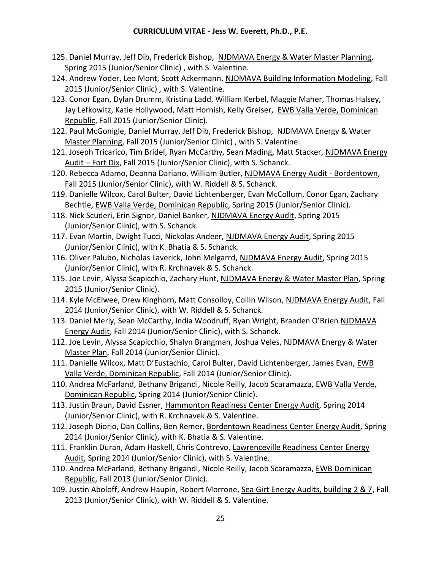- 125. Daniel Murray, Jeff Dib, Frederick Bishop, NJDMAVA Energy & Water Master Planning, Spring 2015 (Junior/Senior Clinic) , with S. Valentine.
- 124. Andrew Yoder, Leo Mont, Scott Ackermann, NJDMAVA Building Information Modeling, Fall 2015 (Junior/Senior Clinic) , with S. Valentine.
- 123. Conor Egan, Dylan Drumm, Kristina Ladd, William Kerbel, Maggie Maher, Thomas Halsey, Jay Lefkowitz, Katie Hollywood, Matt Hornish, Kelly Greiser, EWB Valla Verde, Dominican Republic, Fall 2015 (Junior/Senior Clinic).
- 122. Paul McGonigle, Daniel Murray, Jeff Dib, Frederick Bishop, NJDMAVA Energy & Water Master Planning, Fall 2015 (Junior/Senior Clinic) , with S. Valentine.
- 121. Joseph Tricarico, Tim Bridel, Ryan McCarthy, Sean Mading, Matt Stacker, NJDMAVA Energy Audit – Fort Dix, Fall 2015 (Junior/Senior Clinic), with S. Schanck.
- 120. Rebecca Adamo, Deanna Dariano, William Butler, NJDMAVA Energy Audit Bordentown, Fall 2015 (Junior/Senior Clinic), with W. Riddell & S. Schanck.
- 119. Danielle Wilcox, Carol Bulter, David Lichtenberger, Evan McCollum, Conor Egan, Zachary Bechtle, EWB Valla Verde, Dominican Republic, Spring 2015 (Junior/Senior Clinic).
- 118. Nick Scuderi, Erin Signor, Daniel Banker, NJDMAVA Energy Audit, Spring 2015 (Junior/Senior Clinic), with S. Schanck.
- 117. Evan Martin, Dwight Tucci, Nickolas Andeer, NJDMAVA Energy Audit, Spring 2015 (Junior/Senior Clinic), with K. Bhatia & S. Schanck.
- 116. Oliver Palubo, Nicholas Laverick, John Melgarrd, NJDMAVA Energy Audit, Spring 2015 (Junior/Senior Clinic), with R. Krchnavek & S. Schanck.
- 115. Joe Levin, Alyssa Scapicchio, Zachary Hunt, NJDMAVA Energy & Water Master Plan, Spring 2015 (Junior/Senior Clinic).
- 114. Kyle McElwee, Drew Kinghorn, Matt Consolloy, Collin Wilson, NJDMAVA Energy Audit, Fall 2014 (Junior/Senior Clinic), with W. Riddell & S. Schanck.
- 113. Daniel Merly, Sean McCarthy, India Woodruff, Ryan Wright, Branden O'Brien NJDMAVA Energy Audit, Fall 2014 (Junior/Senior Clinic), with S. Schanck.
- 112. Joe Levin, Alyssa Scapicchio, Shalyn Brangman, Joshua Veles, NJDMAVA Energy & Water Master Plan, Fall 2014 (Junior/Senior Clinic).
- 111. Danielle Wilcox, Matt D'Eustachio, Carol Bulter, David Lichtenberger, James Evan, EWB Valla Verde, Dominican Republic, Fall 2014 (Junior/Senior Clinic).
- 110. Andrea McFarland, Bethany Brigandi, Nicole Reilly, Jacob Scaramazza, EWB Valla Verde, Dominican Republic, Spring 2014 (Junior/Senior Clinic).
- 113. Justin Braun, David Essner, Hammonton Readiness Center Energy Audit, Spring 2014 (Junior/Senior Clinic), with R. Krchnavek & S. Valentine.
- 112. Joseph Diorio, Dan Collins, Ben Remer, Bordentown Readiness Center Energy Audit, Spring 2014 (Junior/Senior Clinic), with K. Bhatia & S. Valentine.
- 111. Franklin Duran, Adam Haskell, Chris Contrevo, Lawrenceville Readiness Center Energy Audit, Spring 2014 (Junior/Senior Clinic), with S. Valentine.
- 110. Andrea McFarland, Bethany Brigandi, Nicole Reilly, Jacob Scaramazza, EWB Dominican Republic, Fall 2013 (Junior/Senior Clinic).
- 109. Justin Aboloff, Andrew Haupin, Robert Morrone, Sea Girt Energy Audits, building 2 & 7, Fall 2013 (Junior/Senior Clinic), with W. Riddell & S. Valentine.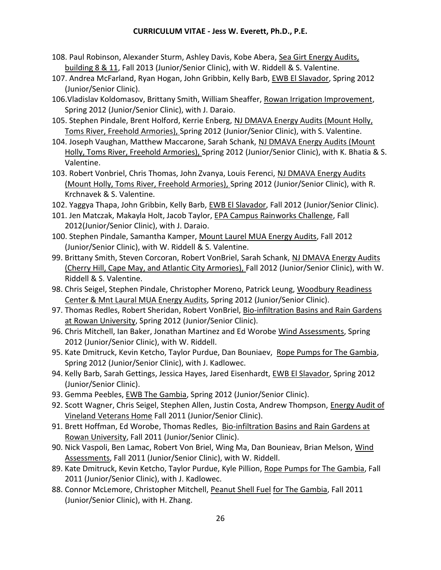- 108. Paul Robinson, Alexander Sturm, Ashley Davis, Kobe Abera, Sea Girt Energy Audits, building 8 & 11, Fall 2013 (Junior/Senior Clinic), with W. Riddell & S. Valentine.
- 107. Andrea McFarland, Ryan Hogan, John Gribbin, Kelly Barb, EWB El Slavador, Spring 2012 (Junior/Senior Clinic).
- 106.Vladislav Koldomasov, Brittany Smith, William Sheaffer, Rowan Irrigation Improvement, Spring 2012 (Junior/Senior Clinic), with J. Daraio.
- 105. Stephen Pindale, Brent Holford, Kerrie Enberg, NJ DMAVA Energy Audits (Mount Holly, Toms River, Freehold Armories), Spring 2012 (Junior/Senior Clinic), with S. Valentine.
- 104. Joseph Vaughan, Matthew Maccarone, Sarah Schank, NJ DMAVA Energy Audits (Mount Holly, Toms River, Freehold Armories), Spring 2012 (Junior/Senior Clinic), with K. Bhatia & S. Valentine.
- 103. Robert Vonbriel, Chris Thomas, John Zvanya, Louis Ferenci, NJ DMAVA Energy Audits (Mount Holly, Toms River, Freehold Armories), Spring 2012 (Junior/Senior Clinic), with R. Krchnavek & S. Valentine.
- 102. Yaggya Thapa, John Gribbin, Kelly Barb, EWB El Slavador, Fall 2012 (Junior/Senior Clinic).
- 101. Jen Matczak, Makayla Holt, Jacob Taylor, EPA Campus Rainworks Challenge, Fall 2012(Junior/Senior Clinic), with J. Daraio.
- 100. Stephen Pindale, Samantha Kamper, Mount Laurel MUA Energy Audits, Fall 2012 (Junior/Senior Clinic), with W. Riddell & S. Valentine.
- 99. Brittany Smith, Steven Corcoran, Robert VonBriel, Sarah Schank, NJ DMAVA Energy Audits (Cherry Hill, Cape May, and Atlantic City Armories), Fall 2012 (Junior/Senior Clinic), with W. Riddell & S. Valentine.
- 98. Chris Seigel, Stephen Pindale, Christopher Moreno, Patrick Leung, Woodbury Readiness Center & Mnt Laural MUA Energy Audits, Spring 2012 (Junior/Senior Clinic).
- 97. Thomas Redles, Robert Sheridan, Robert VonBriel, Bio-infiltration Basins and Rain Gardens at Rowan University, Spring 2012 (Junior/Senior Clinic).
- 96. Chris Mitchell, Ian Baker, Jonathan Martinez and Ed Worobe Wind Assessments, Spring 2012 (Junior/Senior Clinic), with W. Riddell.
- 95. Kate Dmitruck, Kevin Ketcho, Taylor Purdue, Dan Bouniaev, Rope Pumps for The Gambia, Spring 2012 (Junior/Senior Clinic), with J. Kadlowec.
- 94. Kelly Barb, Sarah Gettings, Jessica Hayes, Jared Eisenhardt, EWB El Slavador, Spring 2012 (Junior/Senior Clinic).
- 93. Gemma Peebles, EWB The Gambia, Spring 2012 (Junior/Senior Clinic).
- 92. Scott Wagner, Chris Seigel, Stephen Allen, Justin Costa, Andrew Thompson, Energy Audit of Vineland Veterans Home Fall 2011 (Junior/Senior Clinic).
- 91. Brett Hoffman, Ed Worobe, Thomas Redles, Bio-infiltration Basins and Rain Gardens at Rowan University, Fall 2011 (Junior/Senior Clinic).
- 90. Nick Vaspoli, Ben Lamac, Robert Von Briel, Wing Ma, Dan Bounieav, Brian Melson, Wind Assessments, Fall 2011 (Junior/Senior Clinic), with W. Riddell.
- 89. Kate Dmitruck, Kevin Ketcho, Taylor Purdue, Kyle Pillion, Rope Pumps for The Gambia, Fall 2011 (Junior/Senior Clinic), with J. Kadlowec.
- 88. Connor McLemore, Christopher Mitchell, Peanut Shell Fuel for The Gambia, Fall 2011 (Junior/Senior Clinic), with H. Zhang.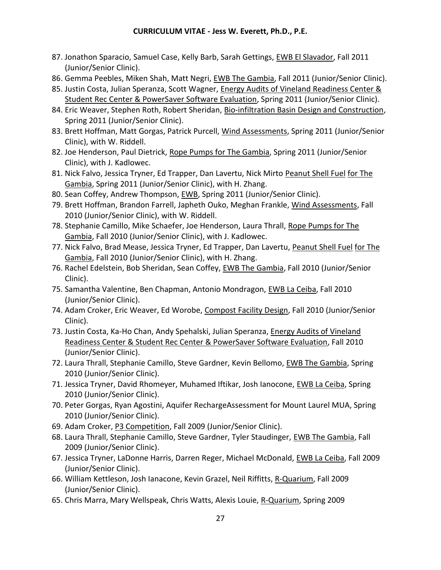- 87. Jonathon Sparacio, Samuel Case, Kelly Barb, Sarah Gettings, EWB El Slavador, Fall 2011 (Junior/Senior Clinic).
- 86. Gemma Peebles, Miken Shah, Matt Negri, EWB The Gambia, Fall 2011 (Junior/Senior Clinic).
- 85. Justin Costa, Julian Speranza, Scott Wagner, Energy Audits of Vineland Readiness Center & Student Rec Center & PowerSaver Software Evaluation, Spring 2011 (Junior/Senior Clinic).
- 84. Eric Weaver, Stephen Roth, Robert Sheridan, Bio-infiltration Basin Design and Construction, Spring 2011 (Junior/Senior Clinic).
- 83. Brett Hoffman, Matt Gorgas, Patrick Purcell, Wind Assessments, Spring 2011 (Junior/Senior Clinic), with W. Riddell.
- 82. Joe Henderson, Paul Dietrick, Rope Pumps for The Gambia, Spring 2011 (Junior/Senior Clinic), with J. Kadlowec.
- 81. Nick Falvo, Jessica Tryner, Ed Trapper, Dan Lavertu, Nick Mirto Peanut Shell Fuel for The Gambia, Spring 2011 (Junior/Senior Clinic), with H. Zhang.
- 80. Sean Coffey, Andrew Thompson, EWB, Spring 2011 (Junior/Senior Clinic).
- 79. Brett Hoffman, Brandon Farrell, Japheth Ouko, Meghan Frankle, Wind Assessments, Fall 2010 (Junior/Senior Clinic), with W. Riddell.
- 78. Stephanie Camillo, Mike Schaefer, Joe Henderson, Laura Thrall, Rope Pumps for The Gambia, Fall 2010 (Junior/Senior Clinic), with J. Kadlowec.
- 77. Nick Falvo, Brad Mease, Jessica Tryner, Ed Trapper, Dan Lavertu, Peanut Shell Fuel for The Gambia, Fall 2010 (Junior/Senior Clinic), with H. Zhang.
- 76. Rachel Edelstein, Bob Sheridan, Sean Coffey, EWB The Gambia, Fall 2010 (Junior/Senior Clinic).
- 75. Samantha Valentine, Ben Chapman, Antonio Mondragon, EWB La Ceiba, Fall 2010 (Junior/Senior Clinic).
- 74. Adam Croker, Eric Weaver, Ed Worobe, Compost Facility Design, Fall 2010 (Junior/Senior Clinic).
- 73. Justin Costa, Ka-Ho Chan, Andy Spehalski, Julian Speranza, Energy Audits of Vineland Readiness Center & Student Rec Center & PowerSaver Software Evaluation, Fall 2010 (Junior/Senior Clinic).
- 72. Laura Thrall, Stephanie Camillo, Steve Gardner, Kevin Bellomo, EWB The Gambia, Spring 2010 (Junior/Senior Clinic).
- 71. Jessica Tryner, David Rhomeyer, Muhamed Iftikar, Josh Ianocone, EWB La Ceiba, Spring 2010 (Junior/Senior Clinic).
- 70. Peter Gorgas, Ryan Agostini, Aquifer RechargeAssessment for Mount Laurel MUA, Spring 2010 (Junior/Senior Clinic).
- 69. Adam Croker, P3 Competition, Fall 2009 (Junior/Senior Clinic).
- 68. Laura Thrall, Stephanie Camillo, Steve Gardner, Tyler Staudinger, EWB The Gambia, Fall 2009 (Junior/Senior Clinic).
- 67. Jessica Tryner, LaDonne Harris, Darren Reger, Michael McDonald, EWB La Ceiba, Fall 2009 (Junior/Senior Clinic).
- 66. William Kettleson, Josh Ianacone, Kevin Grazel, Neil Riffitts, R-Quarium, Fall 2009 (Junior/Senior Clinic).
- 65. Chris Marra, Mary Wellspeak, Chris Watts, Alexis Louie, R-Quarium, Spring 2009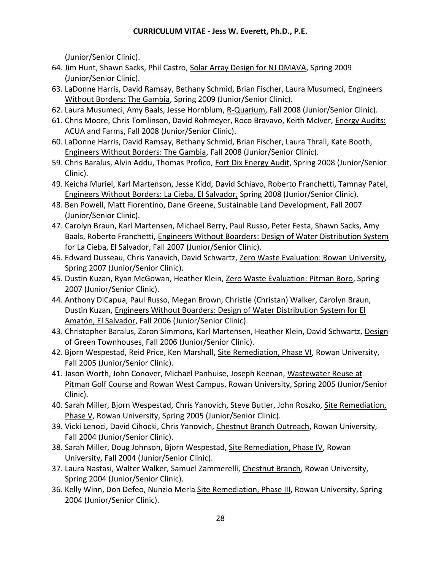(Junior/Senior Clinic).

- 64. Jim Hunt, Shawn Sacks, Phil Castro, Solar Array Design for NJ DMAVA, Spring 2009 (Junior/Senior Clinic).
- 63. LaDonne Harris, David Ramsay, Bethany Schmid, Brian Fischer, Laura Musumeci, Engineers Without Borders: The Gambia, Spring 2009 (Junior/Senior Clinic).
- 62. Laura Musumeci, Amy Baals, Jesse Hornblum, R-Quarium, Fall 2008 (Junior/Senior Clinic).
- 61. Chris Moore, Chris Tomlinson, David Rohmeyer, Roco Bravavo, Keith McIver, Energy Audits: ACUA and Farms, Fall 2008 (Junior/Senior Clinic).
- 60. LaDonne Harris, David Ramsay, Bethany Schmid, Brian Fischer, Laura Thrall, Kate Booth, Engineers Without Borders: The Gambia, Fall 2008 (Junior/Senior Clinic).
- 59. Chris Baralus, Alvin Addu, Thomas Profico, Fort Dix Energy Audit, Spring 2008 (Junior/Senior Clinic).
- 49. Keicha Muriel, Karl Martenson, Jesse Kidd, David Schiavo, Roberto Franchetti, Tamnay Patel, Engineers Without Borders: La Cieba, El Salvador, Spring 2008 (Junior/Senior Clinic).
- 48. Ben Powell, Matt Fiorentino, Dane Greene, Sustainable Land Development, Fall 2007 (Junior/Senior Clinic).
- 47. Carolyn Braun, Karl Martensen, Michael Berry, Paul Russo, Peter Festa, Shawn Sacks, Amy Baals, Roberto Franchetti, Engineers Without Boarders: Design of Water Distribution System for La Cieba, El Salvador, Fall 2007 (Junior/Senior Clinic).
- 46. Edward Dusseau, Chris Yanavich, David Schwartz, Zero Waste Evaluation: Rowan University, Spring 2007 (Junior/Senior Clinic).
- 45. Dustin Kuzan, Ryan McGowan, Heather Klein, Zero Waste Evaluation: Pitman Boro, Spring 2007 (Junior/Senior Clinic).
- 44. Anthony DiCapua, Paul Russo, Megan Brown, Christie (Christan) Walker, Carolyn Braun, Dustin Kuzan, Engineers Without Boarders: Design of Water Distribution System for El Amatón, El Salvador, Fall 2006 (Junior/Senior Clinic).
- 43. Christopher Baralus, Zaron Simmons, Karl Martensen, Heather Klein, David Schwartz, Design of Green Townhouses, Fall 2006 (Junior/Senior Clinic).
- 42. Bjorn Wespestad, Reid Price, Ken Marshall, Site Remediation, Phase VI, Rowan University, Fall 2005 (Junior/Senior Clinic).
- 41. Jason Worth, John Conover, Michael Panhuise, Joseph Keenan, Wastewater Reuse at Pitman Golf Course and Rowan West Campus, Rowan University, Spring 2005 (Junior/Senior Clinic).
- 40. Sarah Miller, Bjorn Wespestad, Chris Yanovich, Steve Butler, John Roszko, Site Remediation, Phase V, Rowan University, Spring 2005 (Junior/Senior Clinic).
- 39. Vicki Lenoci, David Cihocki, Chris Yanovich, Chestnut Branch Outreach, Rowan University, Fall 2004 (Junior/Senior Clinic).
- 38. Sarah Miller, Doug Johnson, Bjorn Wespestad, Site Remediation, Phase IV, Rowan University, Fall 2004 (Junior/Senior Clinic).
- 37. Laura Nastasi, Walter Walker, Samuel Zammerelli, Chestnut Branch, Rowan University, Spring 2004 (Junior/Senior Clinic).
- 36. Kelly Winn, Don Defeo, Nunzio Merla Site Remediation, Phase III, Rowan University, Spring 2004 (Junior/Senior Clinic).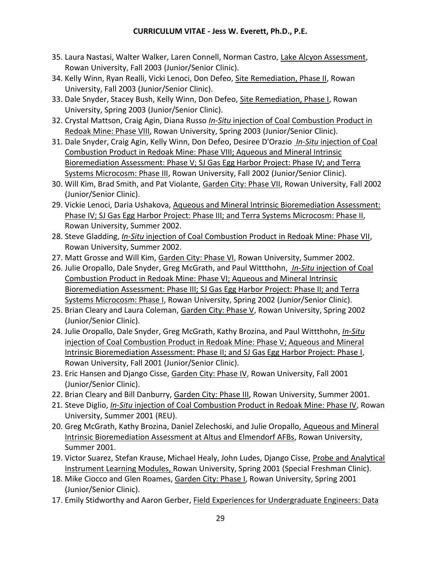- 35. Laura Nastasi, Walter Walker, Laren Connell, Norman Castro, Lake Alcyon Assessment, Rowan University, Fall 2003 (Junior/Senior Clinic).
- 34. Kelly Winn, Ryan Realli, Vicki Lenoci, Don Defeo, Site Remediation, Phase II, Rowan University, Fall 2003 (Junior/Senior Clinic).
- 33. Dale Snyder, Stacey Bush, Kelly Winn, Don Defeo, Site Remediation, Phase I, Rowan University, Spring 2003 (Junior/Senior Clinic).
- 32. Crystal Mattson, Craig Agin, Diana Russo *In-Situ* injection of Coal Combustion Product in Redoak Mine: Phase VIII, Rowan University, Spring 2003 (Junior/Senior Clinic).
- 31. Dale Snyder, Craig Agin, Kelly Winn, Don Defeo, Desiree D'Orazio *In-Situ* injection of Coal Combustion Product in Redoak Mine: Phase VIII; Aqueous and Mineral Intrinsic Bioremediation Assessment: Phase V; SJ Gas Egg Harbor Project: Phase IV; and Terra Systems Microcosm: Phase III, Rowan University, Fall 2002 (Junior/Senior Clinic).
- 30. Will Kim, Brad Smith, and Pat Violante, Garden City: Phase VII, Rowan University, Fall 2002 (Junior/Senior Clinic).
- 29. Vickie Lenoci, Daria Ushakova, Aqueous and Mineral Intrinsic Bioremediation Assessment: Phase IV; SJ Gas Egg Harbor Project: Phase III; and Terra Systems Microcosm: Phase II, Rowan University, Summer 2002.
- 28. Steve Gladding, *In-Situ* injection of Coal Combustion Product in Redoak Mine: Phase VII, Rowan University, Summer 2002.
- 27. Matt Grosse and Will Kim, Garden City: Phase VI, Rowan University, Summer 2002.
- 26. Julie Oropallo, Dale Snyder, Greg McGrath, and Paul Wittthohn, *In-Situ* injection of Coal Combustion Product in Redoak Mine: Phase VI; Aqueous and Mineral Intrinsic Bioremediation Assessment: Phase III; SJ Gas Egg Harbor Project: Phase II; and Terra Systems Microcosm: Phase I, Rowan University, Spring 2002 (Junior/Senior Clinic).
- 25. Brian Cleary and Laura Coleman, Garden City: Phase V, Rowan University, Spring 2002 (Junior/Senior Clinic).
- 24. Julie Oropallo, Dale Snyder, Greg McGrath, Kathy Brozina, and Paul Wittthohn, *In-Situ* injection of Coal Combustion Product in Redoak Mine: Phase V; Aqueous and Mineral Intrinsic Bioremediation Assessment: Phase II; and SJ Gas Egg Harbor Project: Phase I, Rowan University, Fall 2001 (Junior/Senior Clinic).
- 23. Eric Hansen and Django Cisse, Garden City: Phase IV, Rowan University, Fall 2001 (Junior/Senior Clinic).
- 22. Brian Cleary and Bill Danburry, Garden City: Phase III, Rowan University, Summer 2001.
- 21. Steve Diglio, *In-Situ* injection of Coal Combustion Product in Redoak Mine: Phase IV, Rowan University, Summer 2001 (REU).
- 20. Greg McGrath, Kathy Brozina, Daniel Zelechoski, and Julie Oropallo, Aqueous and Mineral Intrinsic Bioremediation Assessment at Altus and Elmendorf AFBs, Rowan University, Summer 2001.
- 19. Victor Suarez, Stefan Krause, Michael Healy, John Ludes, Django Cisse, Probe and Analytical Instrument Learning Modules, Rowan University, Spring 2001 (Special Freshman Clinic).
- 18. Mike Ciocco and Glen Roames, Garden City: Phase I, Rowan University, Spring 2001 (Junior/Senior Clinic).
- 17. Emily Stidworthy and Aaron Gerber, Field Experiences for Undergraduate Engineers: Data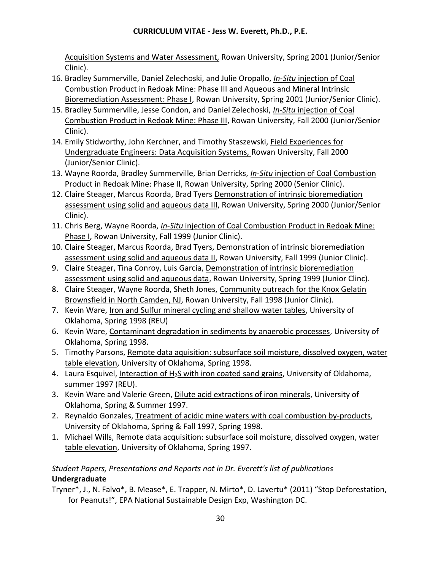Acquisition Systems and Water Assessment, Rowan University, Spring 2001 (Junior/Senior Clinic).

- 16. Bradley Summerville, Daniel Zelechoski, and Julie Oropallo, *In-Situ* injection of Coal Combustion Product in Redoak Mine: Phase III and Aqueous and Mineral Intrinsic Bioremediation Assessment: Phase I, Rowan University, Spring 2001 (Junior/Senior Clinic).
- 15. Bradley Summerville, Jesse Condon, and Daniel Zelechoski, *In-Situ* injection of Coal Combustion Product in Redoak Mine: Phase III, Rowan University, Fall 2000 (Junior/Senior Clinic).
- 14. Emily Stidworthy, John Kerchner, and Timothy Staszewski, Field Experiences for Undergraduate Engineers: Data Acquisition Systems, Rowan University, Fall 2000 (Junior/Senior Clinic).
- 13. Wayne Roorda, Bradley Summerville, Brian Derricks, *In-Situ* injection of Coal Combustion Product in Redoak Mine: Phase II, Rowan University, Spring 2000 (Senior Clinic).
- 12. Claire Steager, Marcus Roorda, Brad Tyers Demonstration of intrinsic bioremediation assessment using solid and aqueous data III, Rowan University, Spring 2000 (Junior/Senior Clinic).
- 11. Chris Berg, Wayne Roorda, *In-Situ* injection of Coal Combustion Product in Redoak Mine: Phase I, Rowan University, Fall 1999 (Junior Clinic).
- 10. Claire Steager, Marcus Roorda, Brad Tyers, Demonstration of intrinsic bioremediation assessment using solid and aqueous data II, Rowan University, Fall 1999 (Junior Clinic).
- 9. Claire Steager, Tina Conroy, Luis Garcia, Demonstration of intrinsic bioremediation assessment using solid and aqueous data, Rowan University, Spring 1999 (Junior Clinc).
- 8. Claire Steager, Wayne Roorda, Sheth Jones, Community outreach for the Knox Gelatin Brownsfield in North Camden, NJ, Rowan University, Fall 1998 (Junior Clinic).
- 7. Kevin Ware, Iron and Sulfur mineral cycling and shallow water tables, University of Oklahoma, Spring 1998 (REU)
- 6. Kevin Ware, Contaminant degradation in sediments by anaerobic processes, University of Oklahoma, Spring 1998.
- 5. Timothy Parsons, Remote data aquisition: subsurface soil moisture, dissolved oxygen, water table elevation, University of Oklahoma, Spring 1998.
- 4. Laura Esquivel, Interaction of H2S with iron coated sand grains, University of Oklahoma, summer 1997 (REU).
- 3. Kevin Ware and Valerie Green, Dilute acid extractions of iron minerals, University of Oklahoma, Spring & Summer 1997.
- 2. Reynaldo Gonzales, Treatment of acidic mine waters with coal combustion by-products, University of Oklahoma, Spring & Fall 1997, Spring 1998.
- 1. Michael Wills, Remote data acquisition: subsurface soil moisture, dissolved oxygen, water table elevation, University of Oklahoma, Spring 1997.

# *Student Papers, Presentations and Reports not in Dr. Everett's list of publications* **Undergraduate**

Tryner\*, J., N. Falvo\*, B. Mease\*, E. Trapper, N. Mirto\*, D. Lavertu\* (2011) "Stop Deforestation, for Peanuts!", EPA National Sustainable Design Exp, Washington DC.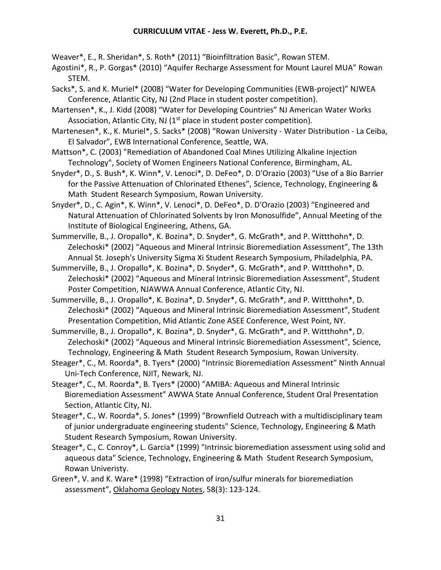Weaver\*, E., R. Sheridan\*, S. Roth\* (2011) "Bioinfiltration Basic", Rowan STEM.

- Agostini\*, R., P. Gorgas\* (2010) "Aquifer Recharge Assessment for Mount Laurel MUA" Rowan STEM.
- Sacks\*, S. and K. Muriel\* (2008) "Water for Developing Communities (EWB-project)" NJWEA Conference, Atlantic City, NJ (2nd Place in student poster competition).

Martensen\*, K., J. Kidd (2008) "Water for Developing Countries" NJ American Water Works Association, Atlantic City, NJ  $(1<sup>st</sup>$  place in student poster competition).

Martenesen\*, K., K. Muriel\*, S. Sacks\* (2008) "Rowan University - Water Distribution - La Ceiba, El Salvador", EWB International Conference, Seattle, WA.

Mattson\*, C. (2003) "Remediation of Abandoned Coal Mines Utilizing Alkaline Injection Technology", Society of Women Engineers National Conference, Birmingham, AL.

Snyder\*, D., S. Bush\*, K. Winn\*, V. Lenoci\*, D. DeFeo\*, D. D'Orazio (2003) "Use of a Bio Barrier for the Passive Attenuation of Chlorinated Ethenes", Science, Technology, Engineering & Math Student Research Symposium, Rowan University.

Snyder\*, D., C. Agin\*, K. Winn\*, V. Lenoci\*, D. DeFeo\*, D. D'Orazio (2003) "Engineered and Natural Attenuation of Chlorinated Solvents by Iron Monosulfide", Annual Meeting of the Institute of Biological Engineering, Athens, GA.

Summerville, B., J. Oropallo\*, K. Bozina\*, D. Snyder\*, G. McGrath\*, and P. Wittthohn\*, D. Zelechoski\* (2002) "Aqueous and Mineral Intrinsic Bioremediation Assessment", The 13th Annual St. Joseph's University Sigma Xi Student Research Symposium, Philadelphia, PA.

Summerville, B., J. Oropallo\*, K. Bozina\*, D. Snyder\*, G. McGrath\*, and P. Wittthohn\*, D. Zelechoski\* (2002) "Aqueous and Mineral Intrinsic Bioremediation Assessment", Student Poster Competition, NJAWWA Annual Conference, Atlantic City, NJ.

Summerville, B., J. Oropallo\*, K. Bozina\*, D. Snyder\*, G. McGrath\*, and P. Wittthohn\*, D. Zelechoski\* (2002) "Aqueous and Mineral Intrinsic Bioremediation Assessment", Student Presentation Competition, Mid Atlantic Zone ASEE Conference, West Point, NY.

Summerville, B., J. Oropallo\*, K. Bozina\*, D. Snyder\*, G. McGrath\*, and P. Wittthohn\*, D. Zelechoski\* (2002) "Aqueous and Mineral Intrinsic Bioremediation Assessment", Science, Technology, Engineering & Math Student Research Symposium, Rowan University.

Steager\*, C., M. Roorda\*, B. Tyers\* (2000) "Intrinsic Bioremediation Assessment" Ninth Annual Uni-Tech Conference, NJIT, Newark, NJ.

Steager\*, C., M. Roorda\*, B. Tyers\* (2000) "AMIBA: Aqueous and Mineral Intrinsic Bioremediation Assessment" AWWA State Annual Conference, Student Oral Presentation Section, Atlantic City, NJ.

Steager\*, C., W. Roorda\*, S. Jones\* (1999) "Brownfield Outreach with a multidisciplinary team of junior undergraduate engineering students" Science, Technology, Engineering & Math Student Research Symposium, Rowan University.

Steager\*, C., C. Conroy\*, L. Garcia\* (1999) "Intrinsic bioremediation assessment using solid and aqueous data" Science, Technology, Engineering & Math Student Research Symposium, Rowan Univeristy.

Green\*, V. and K. Ware\* (1998) "Extraction of iron/sulfur minerals for bioremediation assessment", Oklahoma Geology Notes, 58(3): 123-124.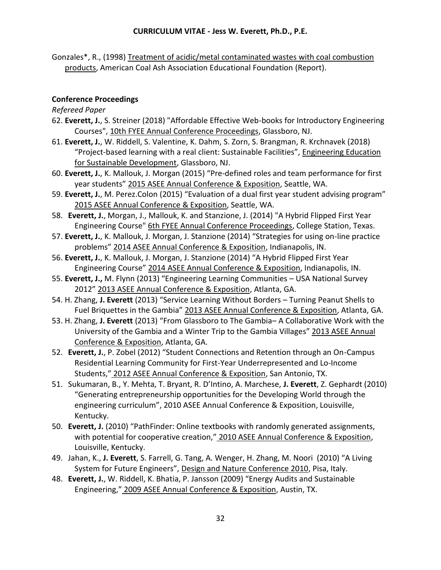Gonzales\*, R., (1998) Treatment of acidic/metal contaminated wastes with coal combustion products, American Coal Ash Association Educational Foundation (Report).

#### **Conference Proceedings**

*Refereed Paper*

- 62. **Everett, J.**, S. Streiner (2018) "Affordable Effective Web-books for Introductory Engineering Courses", 10th FYEE Annual Conference Proceedings, Glassboro, NJ.
- 61. **Everett, J.**, W. Riddell, S. Valentine, K. Dahm, S. Zorn, S. Brangman, R. Krchnavek (2018) "Project-based learning with a real client: Sustainable Facilities", Engineering Education for Sustainable Development, Glassboro, NJ.
- 60. **Everett, J.**, K. Mallouk, J. Morgan (2015) "Pre-defined roles and team performance for first year students" 2015 ASEE Annual Conference & Exposition, Seattle, WA.
- 59. **Everett, J.**, M. Perez.Colon (2015) "Evaluation of a dual first year student advising program" 2015 ASEE Annual Conference & Exposition, Seattle, WA.
- 58. **Everett, J.**, Morgan, J., Mallouk, K. and Stanzione, J. (2014) "A Hybrid Flipped First Year Engineering Course" 6th FYEE Annual Conference Proceedings, College Station, Texas.
- 57. **Everett, J.**, K. Mallouk, J. Morgan, J. Stanzione (2014) "Strategies for using on-line practice problems" 2014 ASEE Annual Conference & Exposition, Indianapolis, IN.
- 56. **Everett, J.**, K. Mallouk, J. Morgan, J. Stanzione (2014) "A Hybrid Flipped First Year Engineering Course" 2014 ASEE Annual Conference & Exposition, Indianapolis, IN.
- 55. **Everett, J.,** M. Flynn (2013) "Engineering Learning Communities USA National Survey 2012" 2013 ASEE Annual Conference & Exposition, Atlanta, GA.
- 54. H. Zhang, **J. Everett** (2013) "Service Learning Without Borders Turning Peanut Shells to Fuel Briquettes in the Gambia" 2013 ASEE Annual Conference & Exposition, Atlanta, GA.
- 53. H. Zhang, **J. Everett** (2013) "From Glassboro to The Gambia– A Collaborative Work with the University of the Gambia and a Winter Trip to the Gambia Villages" 2013 ASEE Annual Conference & Exposition, Atlanta, GA.
- 52. **Everett, J.**, P. Zobel (2012) "Student Connections and Retention through an On-Campus Residential Learning Community for First-Year Underrepresented and Lo-Income Students," 2012 ASEE Annual Conference & Exposition, San Antonio, TX.
- 51. Sukumaran, B., Y. Mehta, T. Bryant, R. D'Intino, A. Marchese, **J. Everett**, Z. Gephardt (2010) "Generating entrepreneurship opportunities for the Developing World through the engineering curriculum", 2010 ASEE Annual Conference & Exposition, Louisville, Kentucky.
- 50. **Everett, J.** (2010) "PathFinder: Online textbooks with randomly generated assignments, with potential for cooperative creation," 2010 ASEE Annual Conference & Exposition, Louisville, Kentucky.
- 49. Jahan, K., **J. Everett**, S. Farrell, G. Tang, A. Wenger, H. Zhang, M. Noori (2010) "A Living System for Future Engineers", Design and Nature Conference 2010, Pisa, Italy.
- 48. **Everett, J.**, W. Riddell, K. Bhatia, P. Jansson (2009) "Energy Audits and Sustainable Engineering," 2009 ASEE Annual Conference & Exposition, Austin, TX.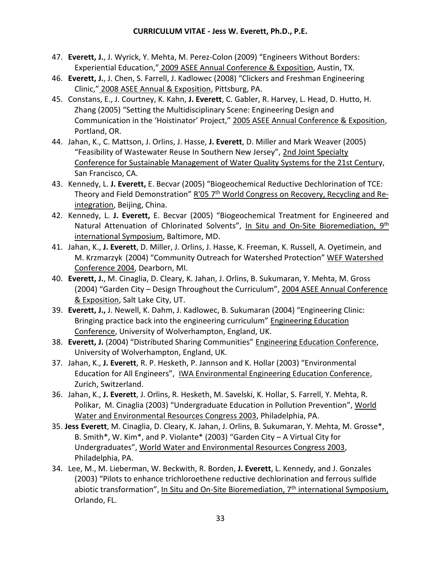- 47. **Everett, J.**, J. Wyrick, Y. Mehta, M. Perez-Colon (2009) "Engineers Without Borders: Experiential Education," 2009 ASEE Annual Conference & Exposition, Austin, TX.
- 46. **Everett, J.**, J. Chen, S. Farrell, J. Kadlowec (2008) "Clickers and Freshman Engineering Clinic," 2008 ASEE Annual & Exposition, Pittsburg, PA.
- 45. Constans, E., J. Courtney, K. Kahn, **J. Everett**, C. Gabler, R. Harvey, L. Head, D. Hutto, H. Zhang (2005) "Setting the Multidisciplinary Scene: Engineering Design and Communication in the 'Hoistinator' Project," 2005 ASEE Annual Conference & Exposition, Portland, OR.
- 44. Jahan, K., C. Mattson, J. Orlins, J. Hasse, **J. Everett**, D. Miller and Mark Weaver (2005) "Feasibility of Wastewater Reuse In Southern New Jersey", 2nd Joint Specialty Conference for Sustainable Management of Water Quality Systems for the 21st Century, San Francisco, CA.
- 43. Kennedy, L. **J. Everett,** E. Becvar (2005) "Biogeochemical Reductive Dechlorination of TCE: Theory and Field Demonstration" R'05 7<sup>th</sup> World Congress on Recovery, Recycling and Reintegration, Beijing, China.
- 42. Kennedy, L. **J. Everett,** E. Becvar (2005) "Biogeochemical Treatment for Engineered and Natural Attenuation of Chlorinated Solvents", In Situ and On-Site Bioremediation, 9<sup>th</sup> international Symposium, Baltimore, MD.
- 41. Jahan, K., **J. Everett**, D. Miller, J. Orlins, J. Hasse, K. Freeman, K. Russell, A. Oyetimein, and M. Krzmarzyk (2004) "Community Outreach for Watershed Protection" WEF Watershed Conference 2004, Dearborn, MI.
- 40. **Everett, J.**, M. Cinaglia, D. Cleary, K. Jahan, J. Orlins, B. Sukumaran, Y. Mehta, M. Gross (2004) "Garden City – Design Throughout the Curriculum", 2004 ASEE Annual Conference & Exposition, Salt Lake City, UT.
- 39. **Everett, J.,** J. Newell, K. Dahm, J. Kadlowec, B. Sukumaran (2004) "Engineering Clinic: Bringing practice back into the engineering curriculum" Engineering Education Conference, University of Wolverhampton, England, UK.
- 38. **Everett, J.** (2004) "Distributed Sharing Communities" Engineering Education Conference, University of Wolverhampton, England, UK.
- 37. Jahan, K., **J. Everett**, R. P. Hesketh, P. Jannson and K. Hollar (2003) "Environmental Education for All Engineers", IWA Environmental Engineering Education Conference, Zurich, Switzerland.
- 36. Jahan, K., **J. Everett**, J. Orlins, R. Hesketh, M. Savelski, K. Hollar, S. Farrell, Y. Mehta, R. Polikar, M. Cinaglia (2003) "Undergraduate Education in Pollution Prevention", World Water and Environmental Resources Congress 2003, Philadelphia, PA.
- 35. **Jess Everett**, M. Cinaglia, D. Cleary, K. Jahan, J. Orlins, B. Sukumaran, Y. Mehta, M. Grosse\*, B. Smith\*, W. Kim\*, and P. Violante\* (2003) "Garden City – A Virtual City for Undergraduates", World Water and Environmental Resources Congress 2003, Philadelphia, PA.
- 34. Lee, M., M. Lieberman, W. Beckwith, R. Borden, **J. Everett**, L. Kennedy, and J. Gonzales (2003) "Pilots to enhance trichloroethene reductive dechlorination and ferrous sulfide abiotic transformation", In Situ and On-Site Bioremediation, 7<sup>th</sup> international Symposium, Orlando, FL.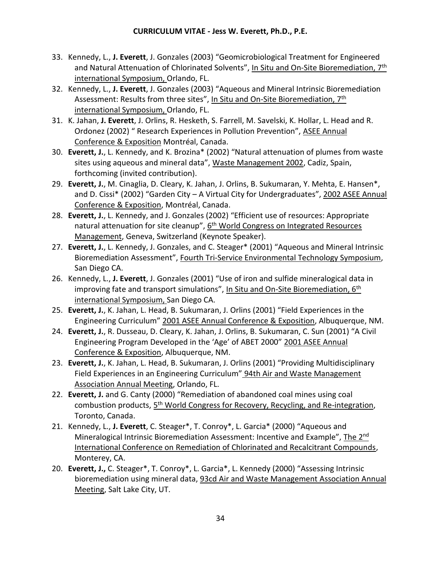- 33. Kennedy, L., **J. Everett**, J. Gonzales (2003) "Geomicrobiological Treatment for Engineered and Natural Attenuation of Chlorinated Solvents", In Situ and On-Site Bioremediation, 7<sup>th</sup> international Symposium, Orlando, FL.
- 32. Kennedy, L., **J. Everett**, J. Gonzales (2003) "Aqueous and Mineral Intrinsic Bioremediation Assessment: Results from three sites", In Situ and On-Site Bioremediation, 7<sup>th</sup> international Symposium, Orlando, FL.
- 31. K. Jahan, **J. Everett**, J. Orlins, R. Hesketh, S. Farrell, M. Savelski, K. Hollar, L. Head and R. Ordonez (2002) " Research Experiences in Pollution Prevention", ASEE Annual Conference & Exposition Montréal, Canada.
- 30. **Everett, J.**, L. Kennedy, and K. Brozina\* (2002) "Natural attenuation of plumes from waste sites using aqueous and mineral data", Waste Management 2002, Cadiz, Spain, forthcoming (invited contribution).
- 29. **Everett, J.**, M. Cinaglia, D. Cleary, K. Jahan, J. Orlins, B. Sukumaran, Y. Mehta, E. Hansen\*, and D. Cissi\* (2002) "Garden City – A Virtual City for Undergraduates", 2002 ASEE Annual Conference & Exposition, Montréal, Canada.
- 28. **Everett, J.**, L. Kennedy, and J. Gonzales (2002) "Efficient use of resources: Appropriate natural attenuation for site cleanup", 6<sup>th</sup> World Congress on Integrated Resources Management, Geneva, Switzerland (Keynote Speaker).
- 27. **Everett, J.**, L. Kennedy, J. Gonzales, and C. Steager\* (2001) "Aqueous and Mineral Intrinsic Bioremediation Assessment", Fourth Tri-Service Environmental Technology Symposium, San Diego CA.
- 26. Kennedy, L., **J. Everett**, J. Gonzales (2001) "Use of iron and sulfide mineralogical data in improving fate and transport simulations", In Situ and On-Site Bioremediation, 6<sup>th</sup> international Symposium, San Diego CA.
- 25. **Everett, J.**, K. Jahan, L. Head, B. Sukumaran, J. Orlins (2001) "Field Experiences in the Engineering Curriculum" 2001 ASEE Annual Conference & Exposition, Albuquerque, NM.
- 24. **Everett, J.**, R. Dusseau, D. Cleary, K. Jahan, J. Orlins, B. Sukumaran, C. Sun (2001) "A Civil Engineering Program Developed in the 'Age' of ABET 2000" 2001 ASEE Annual Conference & Exposition, Albuquerque, NM.
- 23. **Everett, J.**, K. Jahan, L. Head, B. Sukumaran, J. Orlins (2001) "Providing Multidisciplinary Field Experiences in an Engineering Curriculum" 94th Air and Waste Management Association Annual Meeting, Orlando, FL.
- 22. **Everett, J.** and G. Canty (2000) "Remediation of abandoned coal mines using coal combustion products, 5<sup>th</sup> World Congress for Recovery, Recycling, and Re-integration, Toronto, Canada.
- 21. Kennedy, L., **J. Everett**, C. Steager\*, T. Conroy\*, L. Garcia\* (2000) "Aqueous and Mineralogical Intrinsic Bioremediation Assessment: Incentive and Example", The 2<sup>nd</sup> International Conference on Remediation of Chlorinated and Recalcitrant Compounds, Monterey, CA.
- 20. **Everett, J.,** C. Steager\*, T. Conroy\*, L. Garcia\*, L. Kennedy (2000) "Assessing Intrinsic bioremediation using mineral data, 93cd Air and Waste Management Association Annual Meeting, Salt Lake City, UT.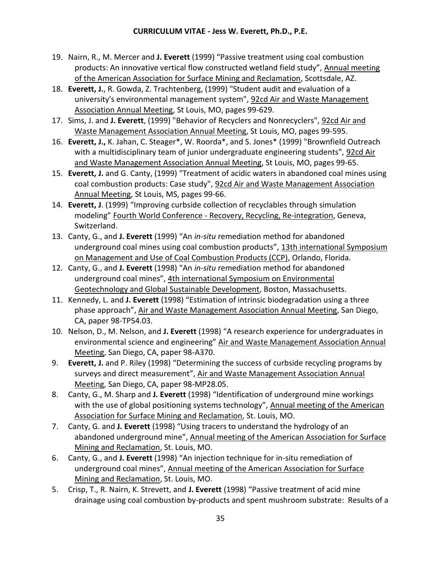- 19. Nairn, R., M. Mercer and **J. Everett** (1999) "Passive treatment using coal combustion products: An innovative vertical flow constructed wetland field study", Annual meeting of the American Association for Surface Mining and Reclamation, Scottsdale, AZ.
- 18. **Everett, J.**, R. Gowda, Z. Trachtenberg, (1999) "Student audit and evaluation of a university's environmental management system", 92cd Air and Waste Management Association Annual Meeting, St Louis, MO, pages 99-629.
- 17. Sims, J. and **J. Everett**, (1999) "Behavior of Recyclers and Nonrecyclers", 92cd Air and Waste Management Association Annual Meeting, St Louis, MO, pages 99-595.
- 16. **Everett, J.,** K. Jahan, C. Steager\*, W. Roorda\*, and S. Jones\* (1999) "Brownfield Outreach with a multidisciplinary team of junior undergraduate engineering students", 92cd Air and Waste Management Association Annual Meeting, St Louis, MO, pages 99-65.
- 15. **Everett, J.** and G. Canty, (1999) "Treatment of acidic waters in abandoned coal mines using coal combustion products: Case study", 92cd Air and Waste Management Association Annual Meeting, St Louis, MS, pages 99-66.
- 14. **Everett, J**. (1999) "Improving curbside collection of recyclables through simulation modeling" Fourth World Conference - Recovery, Recycling, Re-integration, Geneva, Switzerland.
- 13. Canty, G., and **J. Everett** (1999) "An *in-situ* remediation method for abandoned underground coal mines using coal combustion products", 13th international Symposium on Management and Use of Coal Combustion Products (CCP), Orlando, Florida.
- 12. Canty, G., and **J. Everett** (1998) "An *in-situ* remediation method for abandoned underground coal mines", 4th international Symposium on Environmental Geotechnology and Global Sustainable Development, Boston, Massachusetts.
- 11. Kennedy, L. and **J. Everett** (1998) "Estimation of intrinsic biodegradation using a three phase approach", Air and Waste Management Association Annual Meeting, San Diego, CA, paper 98-TP54.03.
- 10. Nelson, D., M. Nelson, and **J. Everett** (1998) "A research experience for undergraduates in environmental science and engineering" Air and Waste Management Association Annual Meeting, San Diego, CA, paper 98-A370.
- 9. **Everett, J.** and P. Riley (1998) "Determining the success of curbside recycling programs by surveys and direct measurement", Air and Waste Management Association Annual Meeting, San Diego, CA, paper 98-MP28.05.
- 8. Canty, G., M. Sharp and **J. Everett** (1998) "Identification of underground mine workings with the use of global positioning systems technology", Annual meeting of the American Association for Surface Mining and Reclamation, St. Louis, MO.
- 7. Canty, G. and **J. Everett** (1998) "Using tracers to understand the hydrology of an abandoned underground mine", Annual meeting of the American Association for Surface Mining and Reclamation, St. Louis, MO.
- 6. Canty, G., and **J. Everett** (1998) "An injection technique for in-situ remediation of underground coal mines", Annual meeting of the American Association for Surface Mining and Reclamation, St. Louis, MO.
- 5. Crisp, T., R. Nairn, K. Strevett, and **J. Everett** (1998) "Passive treatment of acid mine drainage using coal combustion by-products and spent mushroom substrate: Results of a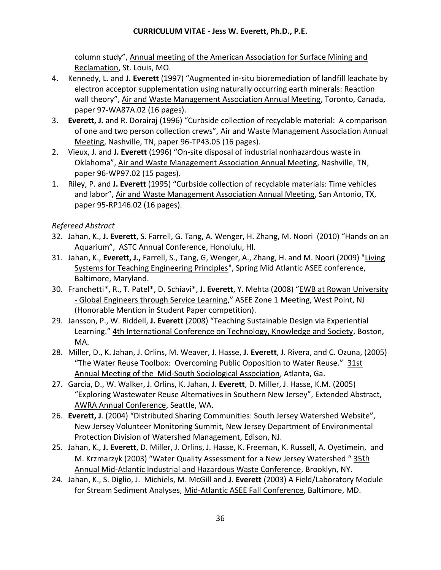column study", Annual meeting of the American Association for Surface Mining and Reclamation, St. Louis, MO.

- 4. Kennedy, L. and **J. Everett** (1997) "Augmented in-situ bioremediation of landfill leachate by electron acceptor supplementation using naturally occurring earth minerals: Reaction wall theory", Air and Waste Management Association Annual Meeting, Toronto, Canada, paper 97-WA87A.02 (16 pages).
- 3. **Everett, J.** and R. Dorairaj (1996) "Curbside collection of recyclable material: A comparison of one and two person collection crews", Air and Waste Management Association Annual Meeting, Nashville, TN, paper 96-TP43.05 (16 pages).
- 2. Vieux, J. and **J. Everett** (1996) "On-site disposal of industrial nonhazardous waste in Oklahoma", Air and Waste Management Association Annual Meeting, Nashville, TN, paper 96-WP97.02 (15 pages).
- 1. Riley, P. and **J. Everett** (1995) "Curbside collection of recyclable materials: Time vehicles and labor", Air and Waste Management Association Annual Meeting, San Antonio, TX, paper 95-RP146.02 (16 pages).

## *Refereed Abstract*

- 32. Jahan, K., **J. Everett**, S. Farrell, G. Tang, A. Wenger, H. Zhang, M. Noori (2010) "Hands on an Aquarium", ASTC Annual Conference, Honolulu, HI.
- 31. Jahan, K., **Everett, J.,** Farrell, S., Tang, G, Wenger, A., Zhang, H. and M. Noori (2009) "Living Systems for Teaching Engineering Principles", Spring Mid Atlantic ASEE conference, Baltimore, Maryland.
- 30. Franchetti\*, R., T. Patel\*, D. Schiavi\*, **J. Everett**, Y. Mehta (2008) "EWB at Rowan University - Global Engineers through Service Learning," ASEE Zone 1 Meeting, West Point, NJ (Honorable Mention in Student Paper competition).
- 29. Jansson, P., W. Riddell, **J. Everett** (2008) "Teaching Sustainable Design via Experiential Learning." 4th International Conference on Technology, Knowledge and Society, Boston, MA.
- 28. Miller, D., K. Jahan, J. Orlins, M. Weaver, J. Hasse, **J. Everett**, J. Rivera, and C. Ozuna, (2005) "The Water Reuse Toolbox: Overcoming Public Opposition to Water Reuse." 31st Annual Meeting of the Mid-South Sociological Association, Atlanta, Ga.
- 27. Garcia, D., W. Walker, J. Orlins, K. Jahan, **J. Everett**, D. Miller, J. Hasse, K.M. (2005) "Exploring Wastewater Reuse Alternatives in Southern New Jersey", Extended Abstract, AWRA Annual Conference, Seattle, WA.
- 26. **Everett, J**. (2004) "Distributed Sharing Communities: South Jersey Watershed Website", New Jersey Volunteer Monitoring Summit, New Jersey Department of Environmental Protection Division of Watershed Management, Edison, NJ.
- 25. Jahan, K., **J. Everett**, D. Miller, J. Orlins, J. Hasse, K. Freeman, K. Russell, A. Oyetimein, and M. Krzmarzyk (2003) "Water Quality Assessment for a New Jersey Watershed "35th Annual Mid-Atlantic Industrial and Hazardous Waste Conference, Brooklyn, NY.
- 24. Jahan, K., S. Diglio, J. Michiels, M. McGill and **J. Everett** (2003) A Field/Laboratory Module for Stream Sediment Analyses, Mid-Atlantic ASEE Fall Conference, Baltimore, MD.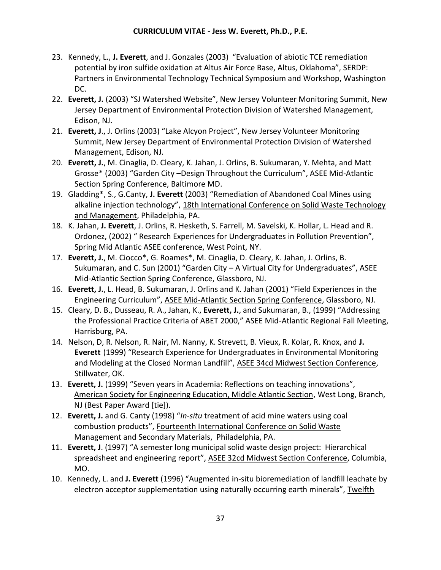- 23. Kennedy, L., **J. Everett**, and J. Gonzales (2003) "Evaluation of abiotic TCE remediation potential by iron sulfide oxidation at Altus Air Force Base, Altus, Oklahoma", SERDP: Partners in Environmental Technology Technical Symposium and Workshop, Washington DC.
- 22. **Everett, J.** (2003) "SJ Watershed Website", New Jersey Volunteer Monitoring Summit, New Jersey Department of Environmental Protection Division of Watershed Management, Edison, NJ.
- 21. **Everett, J**., J. Orlins (2003) "Lake Alcyon Project", New Jersey Volunteer Monitoring Summit, New Jersey Department of Environmental Protection Division of Watershed Management, Edison, NJ.
- 20. **Everett, J.**, M. Cinaglia, D. Cleary, K. Jahan, J. Orlins, B. Sukumaran, Y. Mehta, and Matt Grosse\* (2003) "Garden City –Design Throughout the Curriculum", ASEE Mid-Atlantic Section Spring Conference, Baltimore MD.
- 19. Gladding\*, S., G.Canty, **J. Everett** (2003) "Remediation of Abandoned Coal Mines using alkaline injection technology", 18th International Conference on Solid Waste Technology and Management, Philadelphia, PA.
- 18. K. Jahan, **J. Everett**, J. Orlins, R. Hesketh, S. Farrell, M. Savelski, K. Hollar, L. Head and R. Ordonez, (2002) " Research Experiences for Undergraduates in Pollution Prevention", Spring Mid Atlantic ASEE conference, West Point, NY.
- 17. **Everett, J.**, M. Ciocco\*, G. Roames\*, M. Cinaglia, D. Cleary, K. Jahan, J. Orlins, B. Sukumaran, and C. Sun (2001) "Garden City – A Virtual City for Undergraduates", ASEE Mid-Atlantic Section Spring Conference, Glassboro, NJ.
- 16. **Everett, J.**, L. Head, B. Sukumaran, J. Orlins and K. Jahan (2001) "Field Experiences in the Engineering Curriculum", ASEE Mid-Atlantic Section Spring Conference, Glassboro, NJ.
- 15. Cleary, D. B., Dusseau, R. A., Jahan, K., **Everett, J.**, and Sukumaran, B., (1999) "Addressing the Professional Practice Criteria of ABET 2000," ASEE Mid-Atlantic Regional Fall Meeting, Harrisburg, PA.
- 14. Nelson, D, R. Nelson, R. Nair, M. Nanny, K. Strevett, B. Vieux, R. Kolar, R. Knox, and **J. Everett** (1999) "Research Experience for Undergraduates in Environmental Monitoring and Modeling at the Closed Norman Landfill", ASEE 34cd Midwest Section Conference, Stillwater, OK.
- 13. **Everett, J.** (1999) "Seven years in Academia: Reflections on teaching innovations", American Society for Engineering Education, Middle Atlantic Section, West Long, Branch, NJ (Best Paper Award [tie]).
- 12. **Everett, J.** and G. Canty (1998) "*In-situ* treatment of acid mine waters using coal combustion products", Fourteenth International Conference on Solid Waste Management and Secondary Materials, Philadelphia, PA.
- 11. **Everett, J**. (1997) "A semester long municipal solid waste design project: Hierarchical spreadsheet and engineering report", ASEE 32cd Midwest Section Conference, Columbia, MO.
- 10. Kennedy, L. and **J. Everett** (1996) "Augmented in-situ bioremediation of landfill leachate by electron acceptor supplementation using naturally occurring earth minerals", Twelfth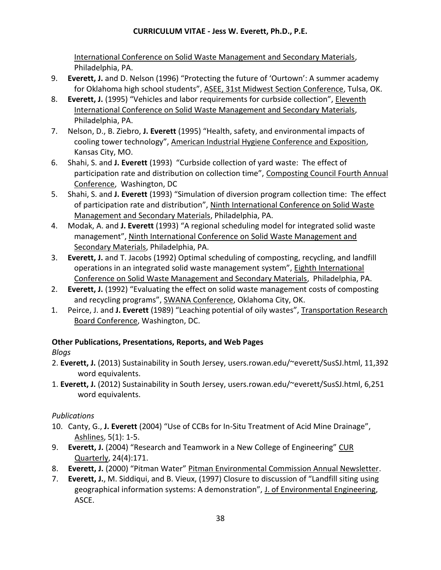International Conference on Solid Waste Management and Secondary Materials, Philadelphia, PA.

- 9. **Everett, J.** and D. Nelson (1996) "Protecting the future of 'Ourtown': A summer academy for Oklahoma high school students", ASEE, 31st Midwest Section Conference, Tulsa, OK.
- 8. **Everett, J.** (1995) "Vehicles and labor requirements for curbside collection", Eleventh International Conference on Solid Waste Management and Secondary Materials, Philadelphia, PA.
- 7. Nelson, D., B. Ziebro, **J. Everett** (1995) "Health, safety, and environmental impacts of cooling tower technology", American Industrial Hygiene Conference and Exposition, Kansas City, MO.
- 6. Shahi, S. and **J. Everett** (1993) "Curbside collection of yard waste: The effect of participation rate and distribution on collection time", Composting Council Fourth Annual Conference, Washington, DC
- 5. Shahi, S. and **J. Everett** (1993) "Simulation of diversion program collection time: The effect of participation rate and distribution", Ninth International Conference on Solid Waste Management and Secondary Materials, Philadelphia, PA.
- 4. Modak, A. and **J. Everett** (1993) "A regional scheduling model for integrated solid waste management", Ninth International Conference on Solid Waste Management and Secondary Materials, Philadelphia, PA.
- 3. **Everett, J.** and T. Jacobs (1992) Optimal scheduling of composting, recycling, and landfill operations in an integrated solid waste management system", Eighth International Conference on Solid Waste Management and Secondary Materials, Philadelphia, PA.
- 2. **Everett, J.** (1992) "Evaluating the effect on solid waste management costs of composting and recycling programs", SWANA Conference, Oklahoma City, OK.
- 1. Peirce, J. and **J. Everett** (1989) "Leaching potential of oily wastes", Transportation Research Board Conference, Washington, DC.

# **Other Publications, Presentations, Reports, and Web Pages**

*Blogs*

- 2. **Everett, J.** (2013) Sustainability in South Jersey, users.rowan.edu/~everett/SusSJ.html, 11,392 word equivalents.
- 1. **Everett, J.** (2012) Sustainability in South Jersey, users.rowan.edu/~everett/SusSJ.html, 6,251 word equivalents.

# *Publications*

- 10. Canty, G., **J. Everett** (2004) "Use of CCBs for In-Situ Treatment of Acid Mine Drainage", Ashlines, 5(1): 1-5.
- 9. **Everett, J.** (2004) "Research and Teamwork in a New College of Engineering" CUR Quarterly, 24(4):171.
- 8. **Everett, J.** (2000) "Pitman Water" Pitman Environmental Commission Annual Newsletter.
- 7. **Everett, J.**, M. Siddiqui, and B. Vieux, (1997) Closure to discussion of "Landfill siting using geographical information systems: A demonstration", J. of Environmental Engineering, ASCE.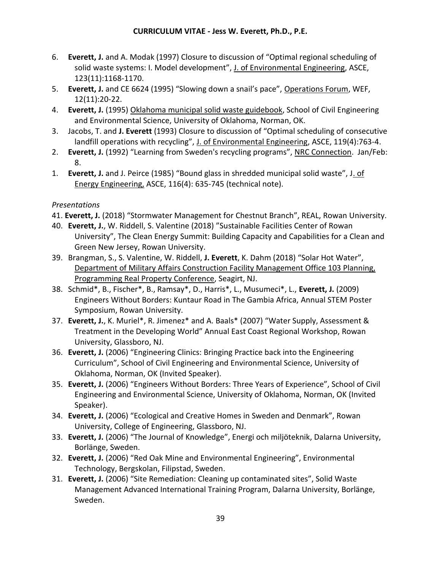- 6. **Everett, J.** and A. Modak (1997) Closure to discussion of "Optimal regional scheduling of solid waste systems: I. Model development", J. of Environmental Engineering, ASCE, 123(11):1168-1170.
- 5. **Everett, J.** and CE 6624 (1995) "Slowing down a snail's pace", Operations Forum, WEF, 12(11):20-22.
- 4. **Everett, J.** (1995) Oklahoma municipal solid waste guidebook, School of Civil Engineering and Environmental Science, University of Oklahoma, Norman, OK.
- 3. Jacobs, T. and **J. Everett** (1993) Closure to discussion of "Optimal scheduling of consecutive landfill operations with recycling", J. of Environmental Engineering, ASCE, 119(4):763-4.
- 2. **Everett, J.** (1992) "Learning from Sweden's recycling programs", NRC Connection. Jan/Feb: 8.
- 1. **Everett, J.** and J. Peirce (1985) "Bound glass in shredded municipal solid waste", J. of Energy Engineering, ASCE, 116(4): 635-745 (technical note).

# *Presentations*

- 41. **Everett, J.** (2018) "Stormwater Management for Chestnut Branch", REAL, Rowan University.
- 40. **Everett, J.**, W. Riddell, S. Valentine (2018) "Sustainable Facilities Center of Rowan University", The Clean Energy Summit: Building Capacity and Capabilities for a Clean and Green New Jersey, Rowan University.
- 39. Brangman, S., S. Valentine, W. Riddell, **J. Everett**, K. Dahm (2018) "Solar Hot Water", Department of Military Affairs Construction Facility Management Office 103 Planning, Programming Real Property Conference, Seagirt, NJ.
- 38. Schmid\*, B., Fischer\*, B., Ramsay\*, D., Harris\*, L., Musumeci\*, L., **Everett, J.** (2009) Engineers Without Borders: Kuntaur Road in The Gambia Africa, Annual STEM Poster Symposium, Rowan University.
- 37. **Everett, J.**, K. Muriel\*, R. Jimenez\* and A. Baals\* (2007) "Water Supply, Assessment & Treatment in the Developing World" Annual East Coast Regional Workshop, Rowan University, Glassboro, NJ.
- 36. **Everett, J.** (2006) "Engineering Clinics: Bringing Practice back into the Engineering Curriculum", School of Civil Engineering and Environmental Science, University of Oklahoma, Norman, OK (Invited Speaker).
- 35. **Everett, J.** (2006) "Engineers Without Borders: Three Years of Experience", School of Civil Engineering and Environmental Science, University of Oklahoma, Norman, OK (Invited Speaker).
- 34. **Everett, J.** (2006) "Ecological and Creative Homes in Sweden and Denmark", Rowan University, College of Engineering, Glassboro, NJ.
- 33. **Everett, J.** (2006) "The Journal of Knowledge", Energi och miljöteknik, Dalarna University, Borlänge, Sweden.
- 32. **Everett, J.** (2006) "Red Oak Mine and Environmental Engineering", Environmental Technology, Bergskolan, Filipstad, Sweden.
- 31. **Everett, J.** (2006) "Site Remediation: Cleaning up contaminated sites", Solid Waste Management Advanced International Training Program, Dalarna University, Borlänge, Sweden.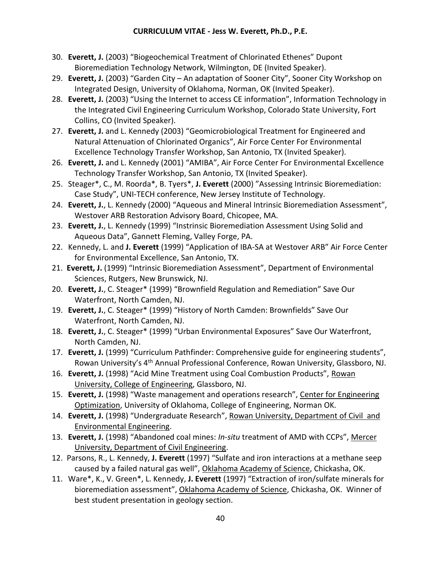- 30. **Everett, J.** (2003) "Biogeochemical Treatment of Chlorinated Ethenes" Dupont Bioremediation Technology Network, Wilmington, DE (Invited Speaker).
- 29. **Everett, J.** (2003) "Garden City An adaptation of Sooner City", Sooner City Workshop on Integrated Design, University of Oklahoma, Norman, OK (Invited Speaker).
- 28. **Everett, J.** (2003) "Using the Internet to access CE information", Information Technology in the Integrated Civil Engineering Curriculum Workshop, Colorado State University, Fort Collins, CO (Invited Speaker).
- 27. **Everett, J.** and L. Kennedy (2003) "Geomicrobiological Treatment for Engineered and Natural Attenuation of Chlorinated Organics", Air Force Center For Environmental Excellence Technology Transfer Workshop, San Antonio, TX (Invited Speaker).
- 26. **Everett, J.** and L. Kennedy (2001) "AMIBA", Air Force Center For Environmental Excellence Technology Transfer Workshop, San Antonio, TX (Invited Speaker).
- 25. Steager\*, C., M. Roorda\*, B. Tyers\*, **J. Everett** (2000) "Assessing Intrinsic Bioremediation: Case Study", UNI-TECH conference, New Jersey Institute of Technology.
- 24. **Everett, J.**, L. Kennedy (2000) "Aqueous and Mineral Intrinsic Bioremediation Assessment", Westover ARB Restoration Advisory Board, Chicopee, MA.
- 23. **Everett, J.**, L. Kennedy (1999) "Instrinsic Bioremediation Assessment Using Solid and Aqueous Data", Gannett Fleming, Valley Forge, PA.
- 22. Kennedy, L. and **J. Everett** (1999) "Application of IBA-SA at Westover ARB" Air Force Center for Environmental Excellence, San Antonio, TX.
- 21. **Everett, J.** (1999) "Intrinsic Bioremediation Assessment", Department of Environmental Sciences, Rutgers, New Brunswick, NJ.
- 20. **Everett, J.**, C. Steager\* (1999) "Brownfield Regulation and Remediation" Save Our Waterfront, North Camden, NJ.
- 19. **Everett, J.**, C. Steager\* (1999) "History of North Camden: Brownfields" Save Our Waterfront, North Camden, NJ.
- 18. **Everett, J.**, C. Steager\* (1999) "Urban Environmental Exposures" Save Our Waterfront, North Camden, NJ.
- 17. **Everett, J.** (1999) "Curriculum Pathfinder: Comprehensive guide for engineering students", Rowan University's 4<sup>th</sup> Annual Professional Conference, Rowan University, Glassboro, NJ.
- 16. **Everett, J.** (1998) "Acid Mine Treatment using Coal Combustion Products", Rowan University, College of Engineering, Glassboro, NJ.
- 15. **Everett, J.** (1998) "Waste management and operations research", Center for Engineering Optimization, University of Oklahoma, College of Engineering, Norman OK.
- 14. **Everett, J.** (1998) "Undergraduate Research", Rowan University, Department of Civil and Environmental Engineering.
- 13. **Everett, J.** (1998) "Abandoned coal mines: *In-situ* treatment of AMD with CCPs", Mercer University, Department of Civil Engineering.
- 12. Parsons, R., L. Kennedy, **J. Everett** (1997) "Sulfate and iron interactions at a methane seep caused by a failed natural gas well", Oklahoma Academy of Science, Chickasha, OK.
- 11. Ware\*, K., V. Green\*, L. Kennedy, **J. Everett** (1997) "Extraction of iron/sulfate minerals for bioremediation assessment", Oklahoma Academy of Science, Chickasha, OK. Winner of best student presentation in geology section.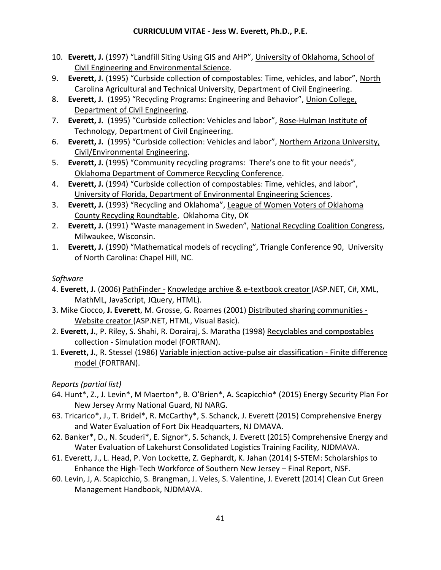- 10. **Everett, J.** (1997) "Landfill Siting Using GIS and AHP", University of Oklahoma, School of Civil Engineering and Environmental Science.
- 9. **Everett, J.** (1995) "Curbside collection of compostables: Time, vehicles, and labor", North Carolina Agricultural and Technical University, Department of Civil Engineering.
- 8. **Everett, J.** (1995) "Recycling Programs: Engineering and Behavior", Union College, Department of Civil Engineering.
- 7. **Everett, J.** (1995) "Curbside collection: Vehicles and labor", Rose-Hulman Institute of Technology, Department of Civil Engineering.
- 6. **Everett, J.** (1995) "Curbside collection: Vehicles and labor", Northern Arizona University, Civil/Environmental Engineering.
- 5. **Everett, J.** (1995) "Community recycling programs: There's one to fit your needs", Oklahoma Department of Commerce Recycling Conference.
- 4. **Everett, J.** (1994) "Curbside collection of compostables: Time, vehicles, and labor", University of Florida, Department of Environmental Engineering Sciences.
- 3. **Everett, J.** (1993) "Recycling and Oklahoma", League of Women Voters of Oklahoma County Recycling Roundtable, Oklahoma City, OK
- 2. **Everett, J.** (1991) "Waste management in Sweden", National Recycling Coalition Congress, Milwaukee, Wisconsin.
- 1. **Everett, J.** (1990) "Mathematical models of recycling", Triangle Conference 90, University of North Carolina: Chapel Hill, NC.

# *Software*

- 4. **Everett, J.** (2006) PathFinder Knowledge archive & e-textbook creator (ASP.NET, C#, XML, MathML, JavaScript, JQuery, HTML).
- 3. Mike Ciocco, **J. Everett**, M. Grosse, G. Roames (2001) Distributed sharing communities Website creator (ASP.NET, HTML, Visual Basic).
- 2. **Everett, J.**, P. Riley, S. Shahi, R. Dorairaj, S. Maratha (1998) Recyclables and compostables collection - Simulation model (FORTRAN).
- 1. **Everett, J.**, R. Stessel (1986) Variable injection active-pulse air classification Finite difference model (FORTRAN).

*Reports (partial list)*

- 64. Hunt\*, Z., J. Levin\*, M Maerton\*, B. O'Brien\*, A. Scapicchio\* (2015) Energy Security Plan For New Jersey Army National Guard, NJ NARG.
- 63. Tricarico\*, J., T. Bridel\*, R. McCarthy\*, S. Schanck, J. Everett (2015) Comprehensive Energy and Water Evaluation of Fort Dix Headquarters, NJ DMAVA.
- 62. Banker\*, D., N. Scuderi\*, E. Signor\*, S. Schanck, J. Everett (2015) Comprehensive Energy and Water Evaluation of Lakehurst Consolidated Logistics Training Facility, NJDMAVA.
- 61. Everett, J., L. Head, P. Von Lockette, Z. Gephardt, K. Jahan (2014) S-STEM: Scholarships to Enhance the High-Tech Workforce of Southern New Jersey – Final Report, NSF.
- 60. Levin, J, A. Scapicchio, S. Brangman, J. Veles, S. Valentine, J. Everett (2014) Clean Cut Green Management Handbook, NJDMAVA.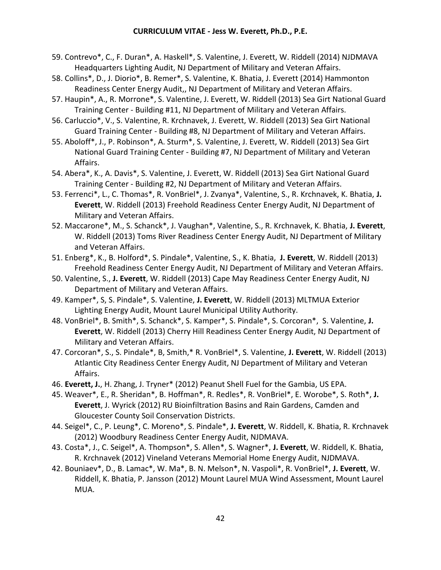- 59. Contrevo\*, C., F. Duran\*, A. Haskell\*, S. Valentine, J. Everett, W. Riddell (2014) NJDMAVA Headquarters Lighting Audit, NJ Department of Military and Veteran Affairs.
- 58. Collins\*, D., J. Diorio\*, B. Remer\*, S. Valentine, K. Bhatia, J. Everett (2014) Hammonton Readiness Center Energy Audit,, NJ Department of Military and Veteran Affairs.
- 57. Haupin\*, A., R. Morrone\*, S. Valentine, J. Everett, W. Riddell (2013) Sea Girt National Guard Training Center - Building #11, NJ Department of Military and Veteran Affairs.
- 56. Carluccio\*, V., S. Valentine, R. Krchnavek, J. Everett, W. Riddell (2013) Sea Girt National Guard Training Center - Building #8, NJ Department of Military and Veteran Affairs.
- 55. Aboloff\*, J., P. Robinson\*, A. Sturm\*, S. Valentine, J. Everett, W. Riddell (2013) Sea Girt National Guard Training Center - Building #7, NJ Department of Military and Veteran Affairs.
- 54. Abera\*, K., A. Davis\*, S. Valentine, J. Everett, W. Riddell (2013) Sea Girt National Guard Training Center - Building #2, NJ Department of Military and Veteran Affairs.
- 53. Ferrenci\*, L., C. Thomas\*, R. VonBriel\*, J. Zvanya\*, Valentine, S., R. Krchnavek, K. Bhatia, **J. Everett**, W. Riddell (2013) Freehold Readiness Center Energy Audit, NJ Department of Military and Veteran Affairs.
- 52. Maccarone\*, M., S. Schanck\*, J. Vaughan\*, Valentine, S., R. Krchnavek, K. Bhatia, **J. Everett**, W. Riddell (2013) Toms River Readiness Center Energy Audit, NJ Department of Military and Veteran Affairs.
- 51. Enberg\*, K., B. Holford\*, S. Pindale\*, Valentine, S., K. Bhatia, **J. Everett**, W. Riddell (2013) Freehold Readiness Center Energy Audit, NJ Department of Military and Veteran Affairs.
- 50. Valentine, S., **J. Everett**, W. Riddell (2013) Cape May Readiness Center Energy Audit, NJ Department of Military and Veteran Affairs.
- 49. Kamper\*, S, S. Pindale\*, S. Valentine, **J. Everett**, W. Riddell (2013) MLTMUA Exterior Lighting Energy Audit, Mount Laurel Municipal Utility Authority.
- 48. VonBriel\*, B. Smith\*, S. Schanck\*, S. Kamper\*, S. Pindale\*, S. Corcoran\*, S. Valentine, **J. Everett**, W. Riddell (2013) Cherry Hill Readiness Center Energy Audit, NJ Department of Military and Veteran Affairs.
- 47. Corcoran\*, S., S. Pindale\*, B, Smith,\* R. VonBriel\*, S. Valentine, **J. Everett**, W. Riddell (2013) Atlantic City Readiness Center Energy Audit, NJ Department of Military and Veteran Affairs.
- 46. **Everett, J.**, H. Zhang, J. Tryner\* (2012) Peanut Shell Fuel for the Gambia, US EPA.
- 45. Weaver\*, E., R. Sheridan\*, B. Hoffman\*, R. Redles\*, R. VonBriel\*, E. Worobe\*, S. Roth\*, **J. Everett**, J. Wyrick (2012) RU Bioinfiltration Basins and Rain Gardens, Camden and Gloucester County Soil Conservation Districts.
- 44. Seigel\*, C., P. Leung\*, C. Moreno\*, S. Pindale\*, **J. Everett**, W. Riddell, K. Bhatia, R. Krchnavek (2012) Woodbury Readiness Center Energy Audit, NJDMAVA.
- 43. Costa\*, J., C. Seigel\*, A. Thompson\*, S. Allen\*, S. Wagner\*, **J. Everett**, W. Riddell, K. Bhatia, R. Krchnavek (2012) Vineland Veterans Memorial Home Energy Audit, NJDMAVA.
- 42. Bouniaev\*, D., B. Lamac\*, W. Ma\*, B. N. Melson\*, N. Vaspoli\*, R. VonBriel\*, **J. Everett**, W. Riddell, K. Bhatia, P. Jansson (2012) Mount Laurel MUA Wind Assessment, Mount Laurel MUA.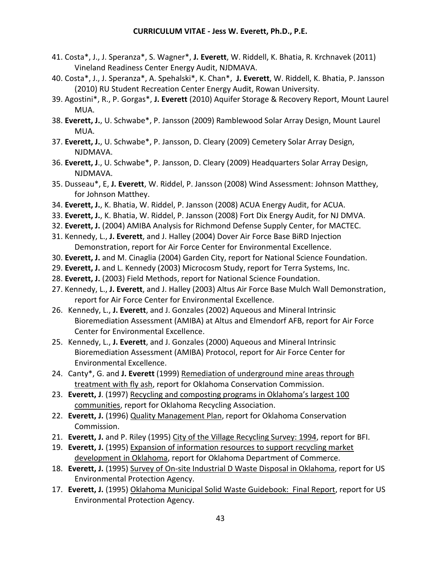- 41. Costa\*, J., J. Speranza\*, S. Wagner\*, **J. Everett**, W. Riddell, K. Bhatia, R. Krchnavek (2011) Vineland Readiness Center Energy Audit, NJDMAVA.
- 40. Costa\*, J., J. Speranza\*, A. Spehalski\*, K. Chan\*, **J. Everett**, W. Riddell, K. Bhatia, P. Jansson (2010) RU Student Recreation Center Energy Audit, Rowan University.
- 39. Agostini\*, R., P. Gorgas\*, **J. Everett** (2010) Aquifer Storage & Recovery Report, Mount Laurel MUA.
- 38. **Everett, J.**, U. Schwabe\*, P. Jansson (2009) Ramblewood Solar Array Design, Mount Laurel MUA.
- 37. **Everett, J.**, U. Schwabe\*, P. Jansson, D. Cleary (2009) Cemetery Solar Array Design, NJDMAVA.
- 36. **Everett, J**., U. Schwabe\*, P. Jansson, D. Cleary (2009) Headquarters Solar Array Design, NJDMAVA.
- 35. Dusseau\*, E, **J. Everett**, W. Riddel, P. Jansson (2008) Wind Assessment: Johnson Matthey, for Johnson Matthey.
- 34. **Everett, J.**, K. Bhatia, W. Riddel, P. Jansson (2008) ACUA Energy Audit, for ACUA.
- 33. **Everett, J.**, K. Bhatia, W. Riddel, P. Jansson (2008) Fort Dix Energy Audit, for NJ DMVA.
- 32. **Everett, J.** (2004) AMIBA Analysis for Richmond Defense Supply Center, for MACTEC.
- 31. Kennedy, L., **J. Everett**, and J. Halley (2004) Dover Air Force Base BiRD Injection Demonstration, report for Air Force Center for Environmental Excellence.
- 30. **Everett, J.** and M. Cinaglia (2004) Garden City, report for National Science Foundation.
- 29. **Everett, J.** and L. Kennedy (2003) Microcosm Study, report for Terra Systems, Inc.
- 28. **Everett, J.** (2003) Field Methods, report for National Science Foundation.
- 27. Kennedy, L., **J. Everett**, and J. Halley (2003) Altus Air Force Base Mulch Wall Demonstration, report for Air Force Center for Environmental Excellence.
- 26. Kennedy, L., **J. Everett**, and J. Gonzales (2002) Aqueous and Mineral Intrinsic Bioremediation Assessment (AMIBA) at Altus and Elmendorf AFB, report for Air Force Center for Environmental Excellence.
- 25. Kennedy, L., **J. Everett**, and J. Gonzales (2000) Aqueous and Mineral Intrinsic Bioremediation Assessment (AMIBA) Protocol, report for Air Force Center for Environmental Excellence.
- 24. Canty\*, G. and **J. Everett** (1999) Remediation of underground mine areas through treatment with fly ash, report for Oklahoma Conservation Commission.
- 23. **Everett, J**. (1997) Recycling and composting programs in Oklahoma's largest 100 communities, report for Oklahoma Recycling Association.
- 22. **Everett, J.** (1996) Quality Management Plan, report for Oklahoma Conservation Commission.
- 21. **Everett, J.** and P. Riley (1995) City of the Village Recycling Survey: 1994, report for BFI.
- 19. **Everett, J.** (1995) Expansion of information resources to support recycling market development in Oklahoma, report for Oklahoma Department of Commerce.
- 18. **Everett, J.** (1995) Survey of On-site Industrial D Waste Disposal in Oklahoma, report for US Environmental Protection Agency.
- 17. **Everett, J.** (1995) Oklahoma Municipal Solid Waste Guidebook: Final Report, report for US Environmental Protection Agency.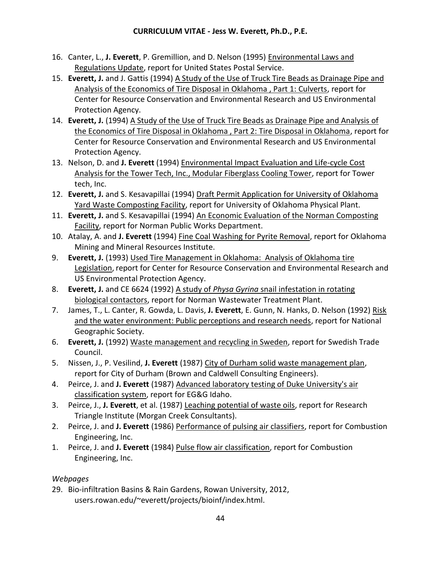- 16. Canter, L., **J. Everett**, P. Gremillion, and D. Nelson (1995) Environmental Laws and Regulations Update, report for United States Postal Service.
- 15. **Everett, J.** and J. Gattis (1994) A Study of the Use of Truck Tire Beads as Drainage Pipe and Analysis of the Economics of Tire Disposal in Oklahoma , Part 1: Culverts, report for Center for Resource Conservation and Environmental Research and US Environmental Protection Agency.
- 14. **Everett, J.** (1994) A Study of the Use of Truck Tire Beads as Drainage Pipe and Analysis of the Economics of Tire Disposal in Oklahoma , Part 2: Tire Disposal in Oklahoma, report for Center for Resource Conservation and Environmental Research and US Environmental Protection Agency.
- 13. Nelson, D. and **J. Everett** (1994) Environmental Impact Evaluation and Life-cycle Cost Analysis for the Tower Tech, Inc., Modular Fiberglass Cooling Tower, report for Tower tech, Inc.
- 12. **Everett, J.** and S. Kesavapillai (1994) Draft Permit Application for University of Oklahoma Yard Waste Composting Facility, report for University of Oklahoma Physical Plant.
- 11. **Everett, J.** and S. Kesavapillai (1994) An Economic Evaluation of the Norman Composting Facility, report for Norman Public Works Department.
- 10. Atalay, A. and **J. Everett** (1994) Fine Coal Washing for Pyrite Removal, report for Oklahoma Mining and Mineral Resources Institute.
- 9. **Everett, J.** (1993) Used Tire Management in Oklahoma: Analysis of Oklahoma tire Legislation, report for Center for Resource Conservation and Environmental Research and US Environmental Protection Agency.
- 8. **Everett, J.** and CE 6624 (1992) A study of *Physa Gyrina* snail infestation in rotating biological contactors, report for Norman Wastewater Treatment Plant.
- 7. James, T., L. Canter, R. Gowda, L. Davis, **J. Everett**, E. Gunn, N. Hanks, D. Nelson (1992) Risk and the water environment: Public perceptions and research needs, report for National Geographic Society.
- 6. **Everett, J.** (1992) Waste management and recycling in Sweden, report for Swedish Trade Council.
- 5. Nissen, J., P. Vesilind, **J. Everett** (1987) City of Durham solid waste management plan, report for City of Durham (Brown and Caldwell Consulting Engineers).
- 4. Peirce, J. and **J. Everett** (1987) Advanced laboratory testing of Duke University's air classification system, report for EG&G Idaho.
- 3. Peirce, J., **J. Everett**, et al. (1987) Leaching potential of waste oils, report for Research Triangle Institute (Morgan Creek Consultants).
- 2. Peirce, J. and **J. Everett** (1986) Performance of pulsing air classifiers, report for Combustion Engineering, Inc.
- 1. Peirce, J. and **J. Everett** (1984) Pulse flow air classification, report for Combustion Engineering, Inc.

# *Webpages*

29. Bio-infiltration Basins & Rain Gardens, Rowan University, 2012, users.rowan.edu/~everett/projects/bioinf/index.html.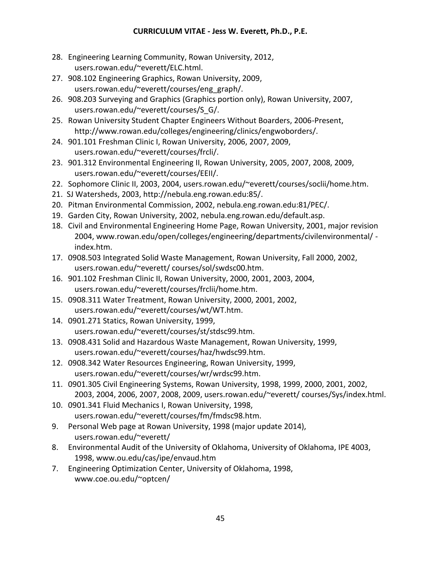- 28. Engineering Learning Community, Rowan University, 2012, users.rowan.edu/~everett/ELC.html.
- 27. 908.102 Engineering Graphics, Rowan University, 2009, users.rowan.edu/~everett/courses/eng\_graph/.
- 26. 908.203 Surveying and Graphics (Graphics portion only), Rowan University, 2007, users.rowan.edu/~everett/courses/S G/.
- 25. Rowan University Student Chapter Engineers Without Boarders, 2006-Present, http://www.rowan.edu/colleges/engineering/clinics/engwoborders/.
- 24. 901.101 Freshman Clinic I, Rowan University, 2006, 2007, 2009, users.rowan.edu/~everett/courses/frcli/.
- 23. 901.312 Environmental Engineering II, Rowan University, 2005, 2007, 2008, 2009, users.rowan.edu/~everett/courses/EEII/.
- 22. Sophomore Clinic II, 2003, 2004, users.rowan.edu/~everett/courses/soclii/home.htm.
- 21. SJ Watersheds, 2003, http://nebula.eng.rowan.edu:85/.
- 20. Pitman Environmental Commission, 2002, nebula.eng.rowan.edu:81/PEC/.
- 19. Garden City, Rowan University, 2002, nebula.eng.rowan.edu/default.asp.
- 18. Civil and Environmental Engineering Home Page, Rowan University, 2001, major revision 2004, www.rowan.edu/open/colleges/engineering/departments/civilenvironmental/ index.htm.
- 17. 0908.503 Integrated Solid Waste Management, Rowan University, Fall 2000, 2002, users.rowan.edu/~everett/ courses/sol/swdsc00.htm.
- 16. 901.102 Freshman Clinic II, Rowan University, 2000, 2001, 2003, 2004, users.rowan.edu/~everett/courses/frclii/home.htm.
- 15. 0908.311 Water Treatment, Rowan University, 2000, 2001, 2002, users.rowan.edu/~everett/courses/wt/WT.htm.
- 14. 0901.271 Statics, Rowan University, 1999, users.rowan.edu/~everett/courses/st/stdsc99.htm.
- 13. 0908.431 Solid and Hazardous Waste Management, Rowan University, 1999, users.rowan.edu/~everett/courses/haz/hwdsc99.htm.
- 12. 0908.342 Water Resources Engineering, Rowan University, 1999, users.rowan.edu/~everett/courses/wr/wrdsc99.htm.
- 11. 0901.305 Civil Engineering Systems, Rowan University, 1998, 1999, 2000, 2001, 2002, 2003, 2004, 2006, 2007, 2008, 2009, users.rowan.edu/~everett/ courses/Sys/index.html.
- 10. 0901.341 Fluid Mechanics I, Rowan University, 1998, users.rowan.edu/~everett/courses/fm/fmdsc98.htm.
- 9. Personal Web page at Rowan University, 1998 (major update 2014), users.rowan.edu/~everett/
- 8. Environmental Audit of the University of Oklahoma, University of Oklahoma, IPE 4003, 1998, www.ou.edu/cas/ipe/envaud.htm
- 7. Engineering Optimization Center, University of Oklahoma, 1998, www.coe.ou.edu/~optcen/